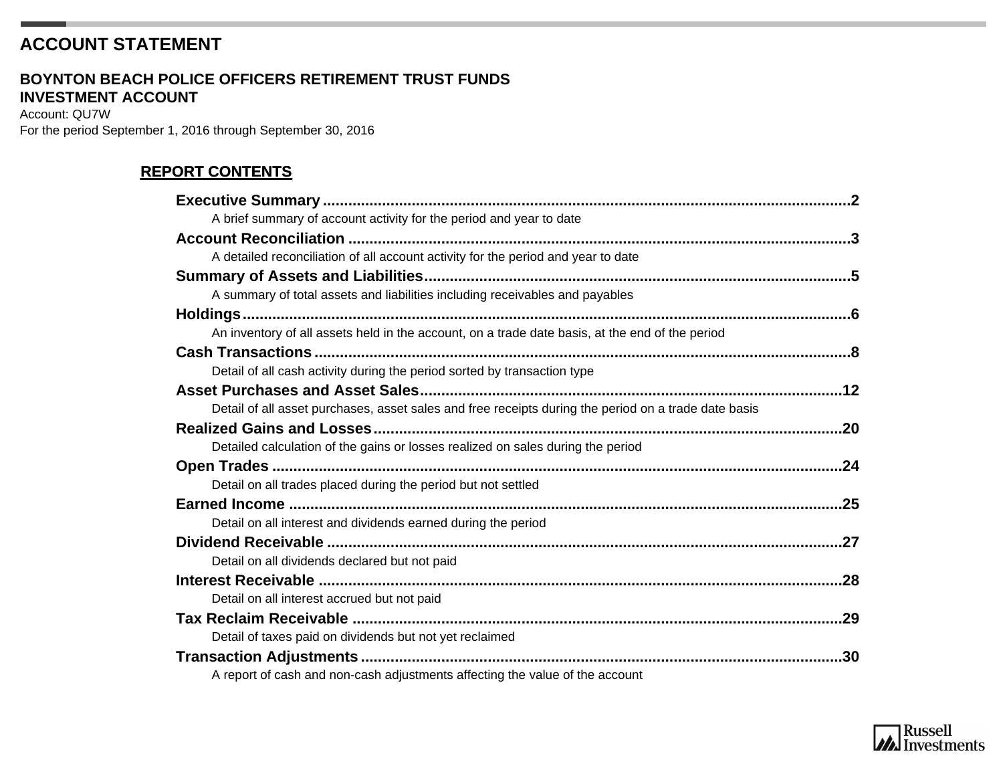## **ACCOUNT STATEMENT**

#### **INVESTMENT ACCOUNT BOYNTON BEACH POLICE OFFICERS RETIREMENT TRUST FUNDS**

Account: QU7W For the period September 1, 2016 through September 30, 2016

### **REPORT CONTENTS**

| A brief summary of account activity for the period and year to date                                  |     |
|------------------------------------------------------------------------------------------------------|-----|
|                                                                                                      |     |
| A detailed reconciliation of all account activity for the period and year to date                    |     |
|                                                                                                      |     |
| A summary of total assets and liabilities including receivables and payables                         |     |
|                                                                                                      |     |
| An inventory of all assets held in the account, on a trade date basis, at the end of the period      |     |
|                                                                                                      |     |
| Detail of all cash activity during the period sorted by transaction type                             |     |
|                                                                                                      |     |
| Detail of all asset purchases, asset sales and free receipts during the period on a trade date basis |     |
|                                                                                                      |     |
| Detailed calculation of the gains or losses realized on sales during the period                      |     |
|                                                                                                      |     |
| Detail on all trades placed during the period but not settled                                        |     |
|                                                                                                      | .25 |
| Detail on all interest and dividends earned during the period                                        |     |
|                                                                                                      |     |
| Detail on all dividends declared but not paid                                                        |     |
|                                                                                                      |     |
| Detail on all interest accrued but not paid                                                          |     |
|                                                                                                      |     |
| Detail of taxes paid on dividends but not yet reclaimed                                              |     |
|                                                                                                      |     |
| A report of cash and non-cash adjustments affecting the value of the account                         |     |

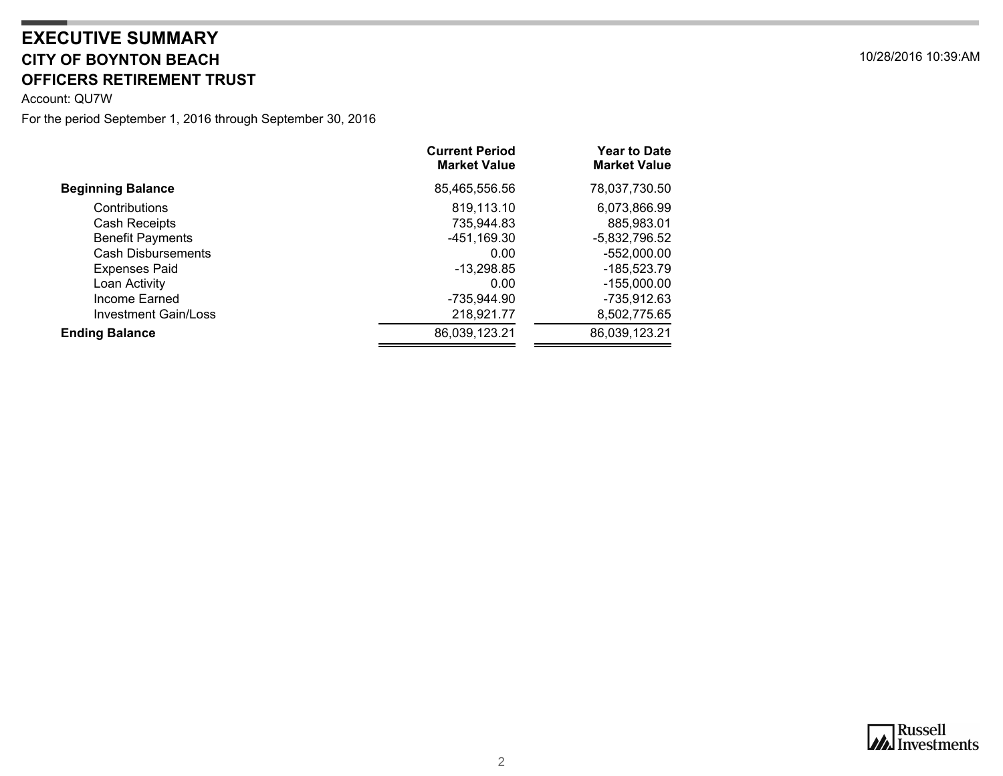## <span id="page-1-0"></span>**CITY OF BOYNTON BEACH** 10/28/2016 10:39:AM **OFFICERS RETIREMENT TRUST EXECUTIVE SUMMARY**

Account: QU7W

|                             | <b>Current Period</b><br><b>Market Value</b> | <b>Year to Date</b><br><b>Market Value</b> |
|-----------------------------|----------------------------------------------|--------------------------------------------|
| <b>Beginning Balance</b>    | 85,465,556.56                                | 78,037,730.50                              |
| Contributions               | 819,113.10                                   | 6,073,866.99                               |
| Cash Receipts               | 735,944.83                                   | 885,983.01                                 |
| <b>Benefit Payments</b>     | -451,169.30                                  | $-5,832,796.52$                            |
| <b>Cash Disbursements</b>   | 0.00                                         | -552,000.00                                |
| <b>Expenses Paid</b>        | $-13,298.85$                                 | -185,523.79                                |
| Loan Activity               | 0.00                                         | -155,000.00                                |
| Income Earned               | -735,944.90                                  | -735,912.63                                |
| <b>Investment Gain/Loss</b> | 218,921.77                                   | 8,502,775.65                               |
| <b>Ending Balance</b>       | 86,039,123.21                                | 86,039,123.21                              |

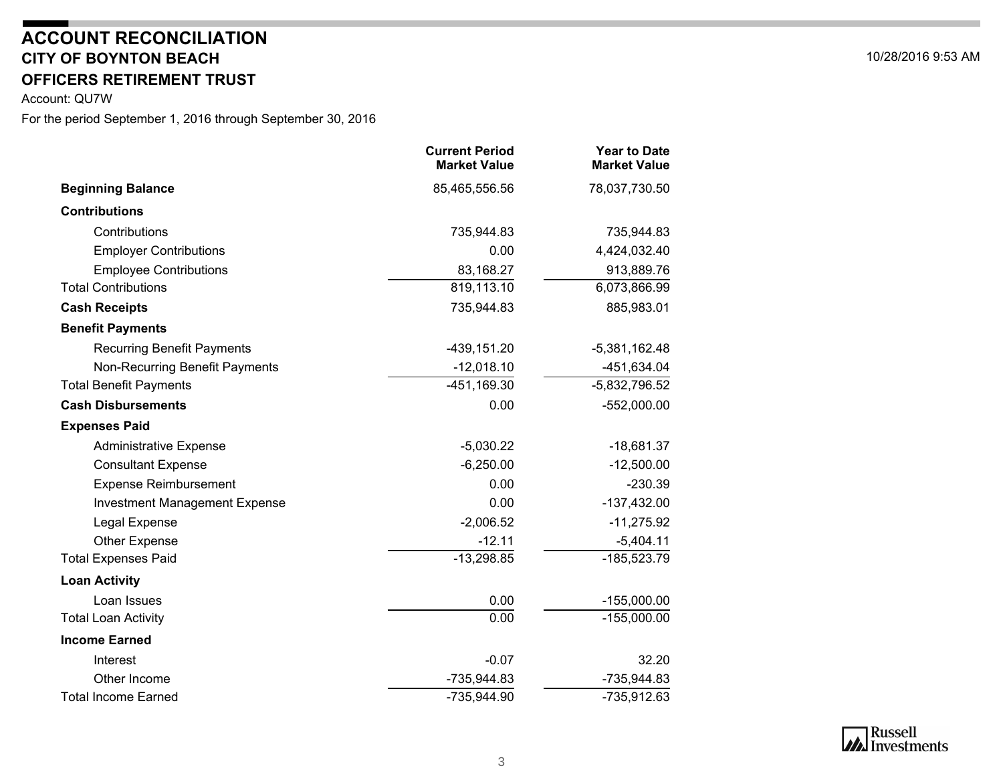#### **CITY OF BOYNTON BEACH** 10/28/2016 9:53 AM **OFFICERS RETIREMENT TRUSTACCOUNT RECONCILIATION**

<span id="page-2-0"></span>Account: QU7W

|                                      | <b>Current Period</b><br><b>Market Value</b> | <b>Year to Date</b><br><b>Market Value</b> |
|--------------------------------------|----------------------------------------------|--------------------------------------------|
| <b>Beginning Balance</b>             | 85,465,556.56                                | 78,037,730.50                              |
| <b>Contributions</b>                 |                                              |                                            |
| Contributions                        | 735,944.83                                   | 735,944.83                                 |
| <b>Employer Contributions</b>        | 0.00                                         | 4,424,032.40                               |
| <b>Employee Contributions</b>        | 83,168.27                                    | 913,889.76                                 |
| <b>Total Contributions</b>           | 819,113.10                                   | 6,073,866.99                               |
| <b>Cash Receipts</b>                 | 735,944.83                                   | 885,983.01                                 |
| <b>Benefit Payments</b>              |                                              |                                            |
| <b>Recurring Benefit Payments</b>    | $-439, 151.20$                               | $-5,381,162.48$                            |
| Non-Recurring Benefit Payments       | $-12,018.10$                                 | -451,634.04                                |
| <b>Total Benefit Payments</b>        | $-451,169.30$                                | $-5,832,796.52$                            |
| <b>Cash Disbursements</b>            | 0.00                                         | $-552,000.00$                              |
| <b>Expenses Paid</b>                 |                                              |                                            |
| <b>Administrative Expense</b>        | $-5,030.22$                                  | $-18,681.37$                               |
| <b>Consultant Expense</b>            | $-6,250.00$                                  | $-12,500.00$                               |
| <b>Expense Reimbursement</b>         | 0.00                                         | $-230.39$                                  |
| <b>Investment Management Expense</b> | 0.00                                         | $-137,432.00$                              |
| Legal Expense                        | $-2,006.52$                                  | $-11,275.92$                               |
| <b>Other Expense</b>                 | $-12.11$                                     | $-5,404.11$                                |
| <b>Total Expenses Paid</b>           | $-13,298.85$                                 | -185,523.79                                |
| <b>Loan Activity</b>                 |                                              |                                            |
| Loan Issues                          | 0.00                                         | $-155,000.00$                              |
| <b>Total Loan Activity</b>           | 0.00                                         | $-155,000.00$                              |
| <b>Income Earned</b>                 |                                              |                                            |
| Interest                             | $-0.07$                                      | 32.20                                      |
| Other Income                         | -735,944.83                                  | -735,944.83                                |
| <b>Total Income Earned</b>           | -735,944.90                                  | -735,912.63                                |

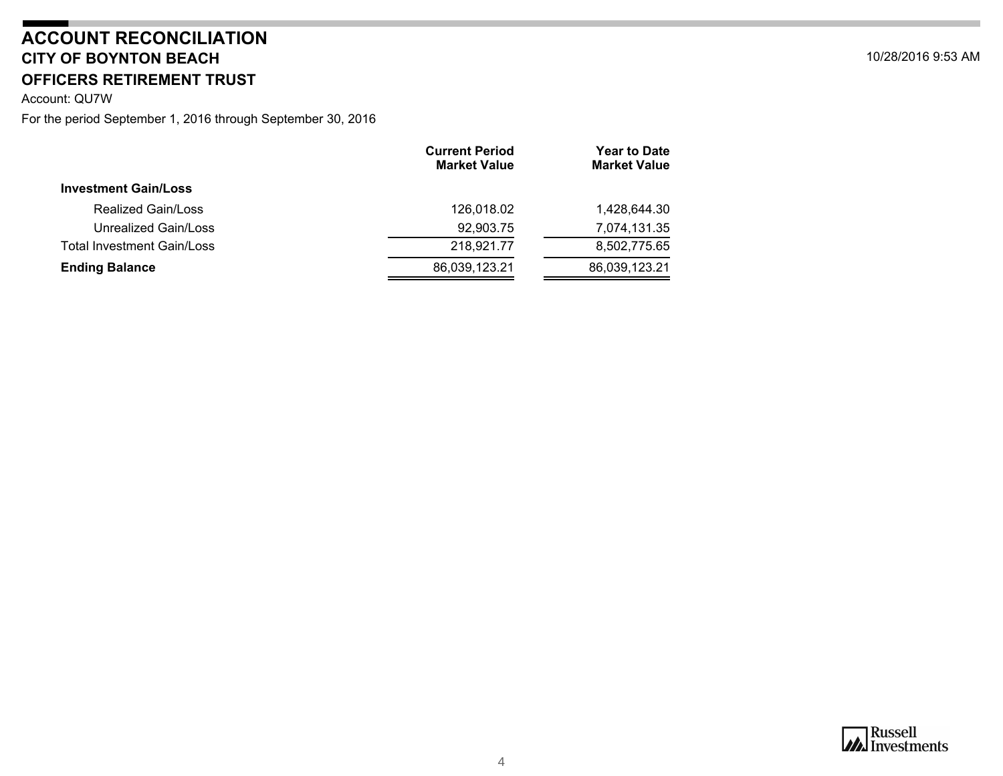#### **CITY OF BOYNTON BEACH** 10/28/2016 9:53 AM **OFFICERS RETIREMENT TRUSTACCOUNT RECONCILIATION**

Account: QU7W

|                                   | <b>Current Period</b><br><b>Market Value</b> | <b>Year to Date</b><br><b>Market Value</b> |
|-----------------------------------|----------------------------------------------|--------------------------------------------|
| <b>Investment Gain/Loss</b>       |                                              |                                            |
| Realized Gain/Loss                | 126,018.02                                   | 1,428,644.30                               |
| Unrealized Gain/Loss              | 92,903.75                                    | 7,074,131.35                               |
| <b>Total Investment Gain/Loss</b> | 218,921.77                                   | 8,502,775.65                               |
| <b>Ending Balance</b>             | 86,039,123.21                                | 86,039,123.21                              |

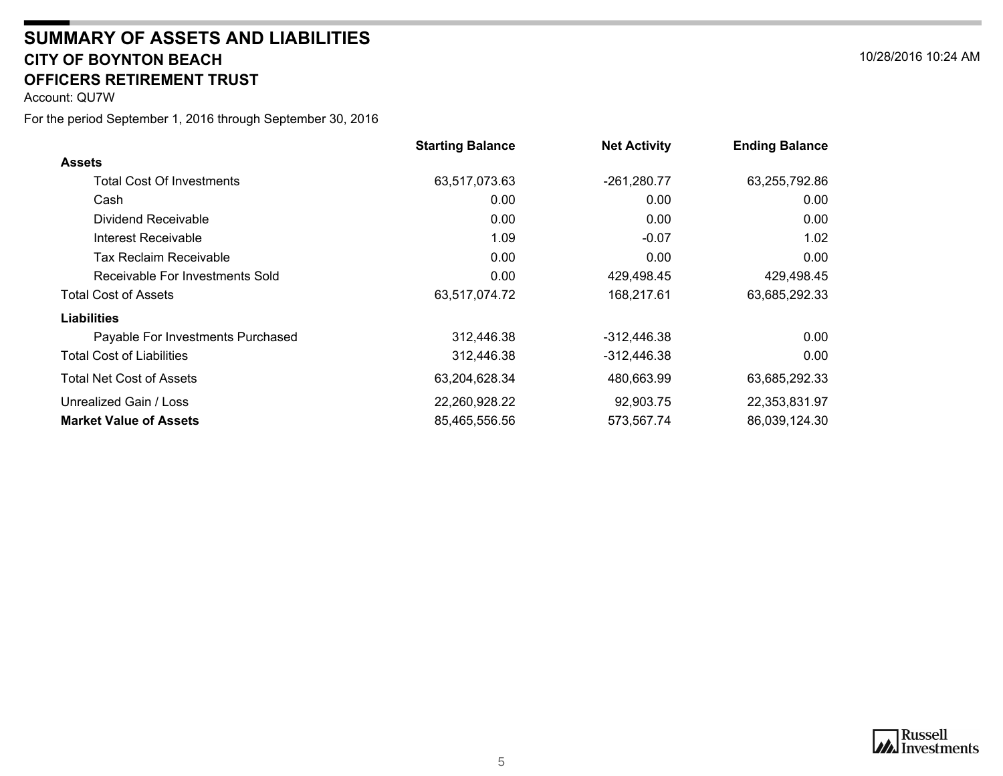#### **CITY OF BOYNTON BEACH** 10/28/2016 10:24 AM **SUMMARY OF ASSETS AND LIABILITIESOFFICERS RETIREMENT TRUST**

<span id="page-4-0"></span>Account: QU7W

|                                   | <b>Starting Balance</b> | <b>Net Activity</b> | <b>Ending Balance</b> |
|-----------------------------------|-------------------------|---------------------|-----------------------|
| <b>Assets</b>                     |                         |                     |                       |
| <b>Total Cost Of Investments</b>  | 63,517,073.63           | $-261,280.77$       | 63,255,792.86         |
| Cash                              | 0.00                    | 0.00                | 0.00                  |
| Dividend Receivable               | 0.00                    | 0.00                | 0.00                  |
| Interest Receivable               | 1.09                    | $-0.07$             | 1.02                  |
| Tax Reclaim Receivable            | 0.00                    | 0.00                | 0.00                  |
| Receivable For Investments Sold   | 0.00                    | 429,498.45          | 429,498.45            |
| <b>Total Cost of Assets</b>       | 63,517,074.72           | 168,217.61          | 63,685,292.33         |
| <b>Liabilities</b>                |                         |                     |                       |
| Payable For Investments Purchased | 312,446.38              | -312,446.38         | 0.00 <sub>1</sub>     |
| <b>Total Cost of Liabilities</b>  | 312,446.38              | -312,446.38         | 0.00                  |
| Total Net Cost of Assets          | 63,204,628.34           | 480,663.99          | 63,685,292.33         |
| Unrealized Gain / Loss            | 22,260,928.22           | 92,903.75           | 22,353,831.97         |
| <b>Market Value of Assets</b>     | 85,465,556.56           | 573,567.74          | 86,039,124.30         |



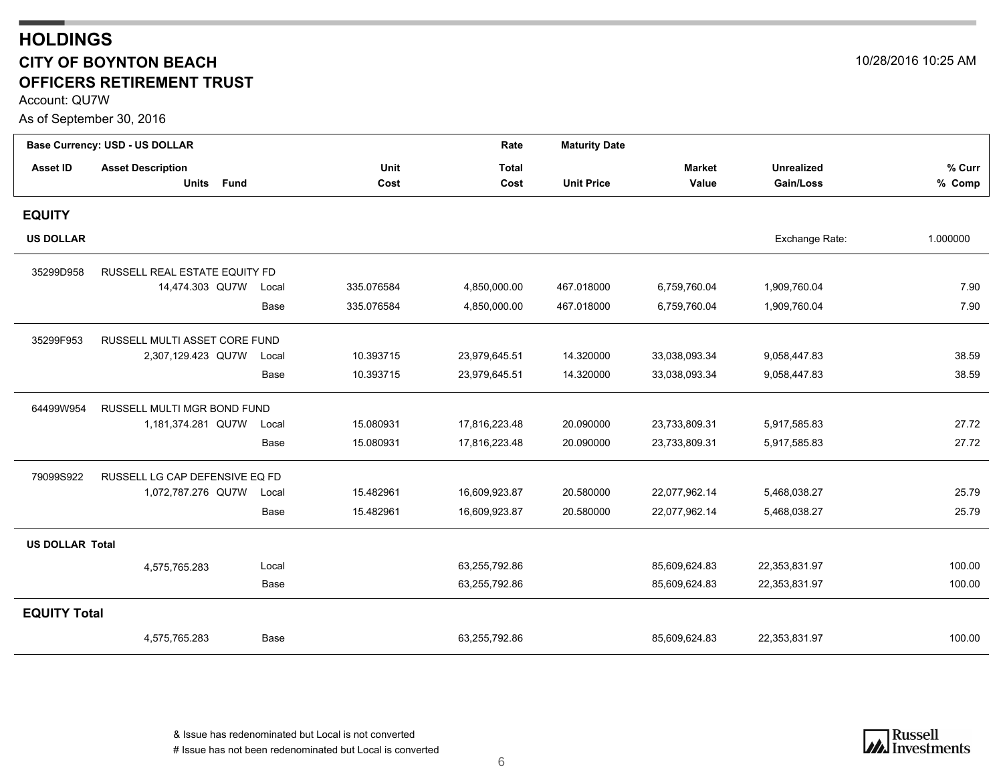### <span id="page-5-0"></span>**HOLDINGS CITY OF BOYNTON BEACH** 10/28/2016 10:25 AM **OFFICERS RETIREMENT TRUST**

Account: QU7W

As of September 30, 2016

|                        | Base Currency: USD - US DOLLAR |       |            | Rate          | <b>Maturity Date</b> |               |                   |          |
|------------------------|--------------------------------|-------|------------|---------------|----------------------|---------------|-------------------|----------|
| <b>Asset ID</b>        | <b>Asset Description</b>       |       | Unit       | <b>Total</b>  |                      | <b>Market</b> | <b>Unrealized</b> | % Curr   |
|                        | Units Fund                     |       | Cost       | Cost          | <b>Unit Price</b>    | Value         | Gain/Loss         | % Comp   |
| <b>EQUITY</b>          |                                |       |            |               |                      |               |                   |          |
| <b>US DOLLAR</b>       |                                |       |            |               |                      |               | Exchange Rate:    | 1.000000 |
| 35299D958              | RUSSELL REAL ESTATE EQUITY FD  |       |            |               |                      |               |                   |          |
|                        | 14,474.303 QU7W                | Local | 335.076584 | 4,850,000.00  | 467.018000           | 6,759,760.04  | 1,909,760.04      | 7.90     |
|                        |                                | Base  | 335.076584 | 4,850,000.00  | 467.018000           | 6,759,760.04  | 1,909,760.04      | 7.90     |
| 35299F953              | RUSSELL MULTI ASSET CORE FUND  |       |            |               |                      |               |                   |          |
|                        | 2,307,129.423 QU7W             | Local | 10.393715  | 23,979,645.51 | 14.320000            | 33,038,093.34 | 9,058,447.83      | 38.59    |
|                        |                                | Base  | 10.393715  | 23,979,645.51 | 14.320000            | 33,038,093.34 | 9,058,447.83      | 38.59    |
| 64499W954              | RUSSELL MULTI MGR BOND FUND    |       |            |               |                      |               |                   |          |
|                        | 1,181,374.281 QU7W             | Local | 15.080931  | 17,816,223.48 | 20.090000            | 23,733,809.31 | 5,917,585.83      | 27.72    |
|                        |                                | Base  | 15.080931  | 17,816,223.48 | 20.090000            | 23,733,809.31 | 5,917,585.83      | 27.72    |
| 79099S922              | RUSSELL LG CAP DEFENSIVE EQ FD |       |            |               |                      |               |                   |          |
|                        | 1,072,787.276 QU7W             | Local | 15.482961  | 16,609,923.87 | 20.580000            | 22,077,962.14 | 5,468,038.27      | 25.79    |
|                        |                                | Base  | 15.482961  | 16,609,923.87 | 20.580000            | 22,077,962.14 | 5,468,038.27      | 25.79    |
| <b>US DOLLAR Total</b> |                                |       |            |               |                      |               |                   |          |
|                        | 4,575,765.283                  | Local |            | 63,255,792.86 |                      | 85,609,624.83 | 22,353,831.97     | 100.00   |
|                        |                                | Base  |            | 63,255,792.86 |                      | 85,609,624.83 | 22,353,831.97     | 100.00   |
| <b>EQUITY Total</b>    |                                |       |            |               |                      |               |                   |          |
|                        | 4,575,765.283                  | Base  |            | 63,255,792.86 |                      | 85,609,624.83 | 22,353,831.97     | 100.00   |

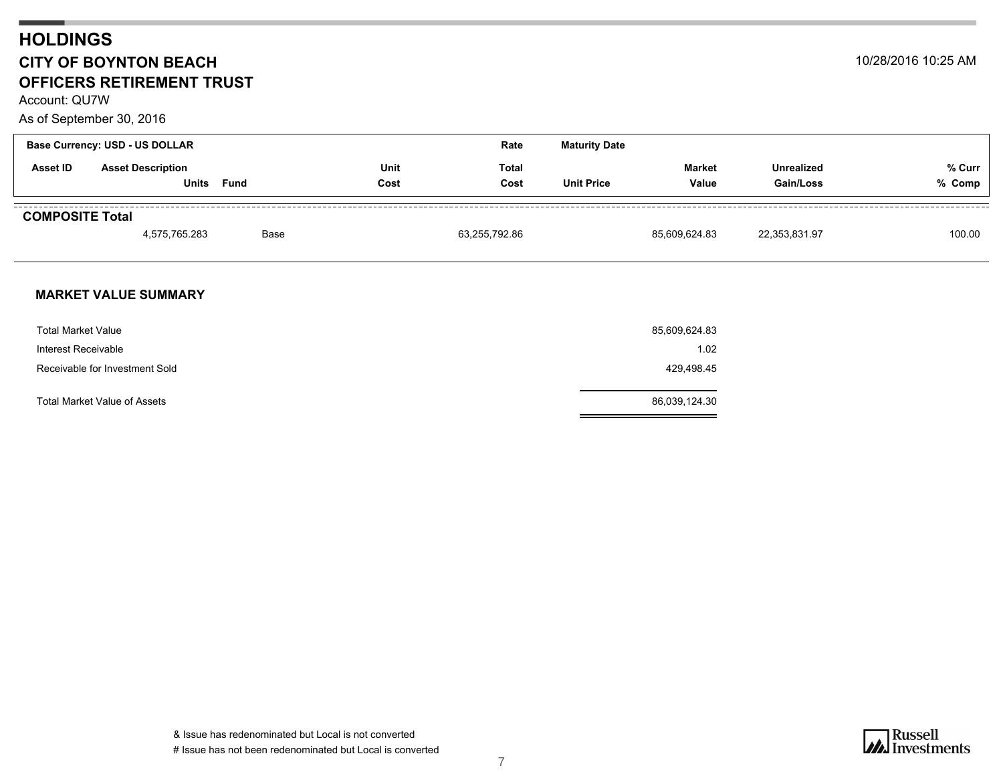### **HOLDINGS CITY OF BOYNTON BEACH** 10/28/2016 10:25 AM **OFFICERS RETIREMENT TRUST**

Account: QU7W

As of September 30, 2016

|                        | <b>Base Currency: USD - US DOLLAR</b> |      |              | Rate          | <b>Maturity Date</b> |                        |                                |                  |
|------------------------|---------------------------------------|------|--------------|---------------|----------------------|------------------------|--------------------------------|------------------|
| Asset ID               | <b>Asset Description</b><br>Units     | Fund | Unit<br>Cost | Total<br>Cost | <b>Unit Price</b>    | <b>Market</b><br>Value | <b>Unrealized</b><br>Gain/Loss | % Curr<br>% Comp |
| <b>COMPOSITE Total</b> | 4,575,765.283                         | Base |              | 63,255,792.86 |                      | 85,609,624.83          | 22,353,831.97                  | 100.00           |

#### **MARKET VALUE SUMMARY**

| <b>Total Market Value</b>      | 85,609,624.83 |
|--------------------------------|---------------|
| Interest Receivable            | 1.02          |
| Receivable for Investment Sold | 429,498.45    |
| Total Market Value of Assets   | 86,039,124.30 |

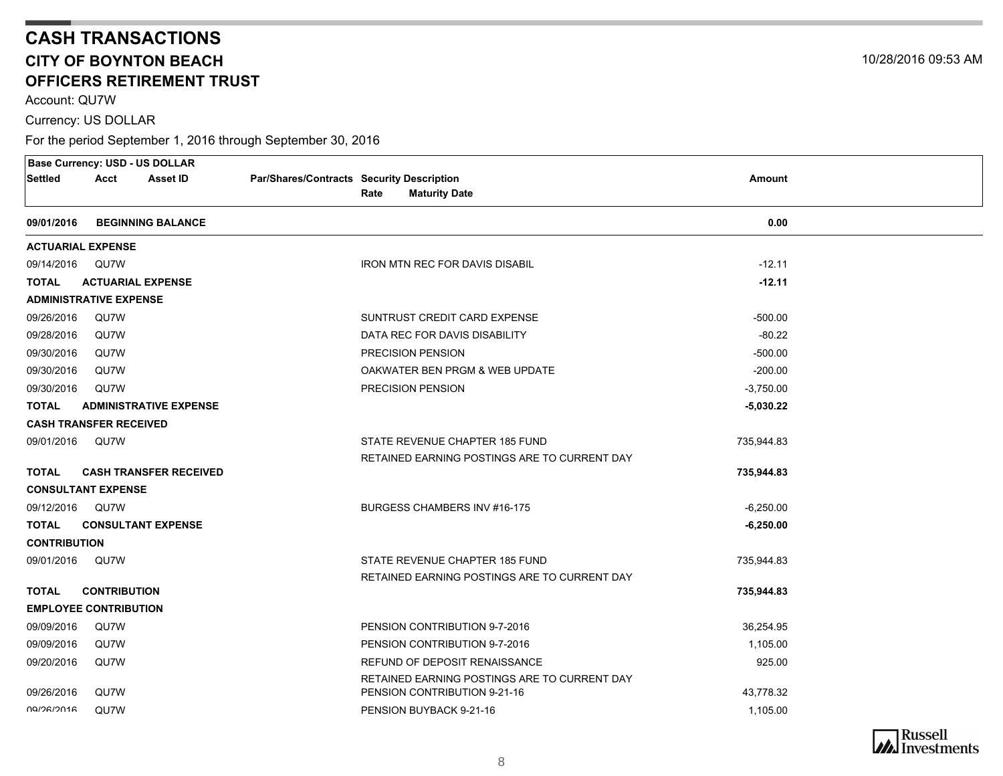Account: QU7W

Currency: US DOLLAR

For the period September 1, 2016 through September 30, 2016

<span id="page-7-0"></span>

| <b>Base Currency: USD - US DOLLAR</b> |                          |                               |                                           |      |                                                                               |             |  |
|---------------------------------------|--------------------------|-------------------------------|-------------------------------------------|------|-------------------------------------------------------------------------------|-------------|--|
| Settled                               | Acct                     | <b>Asset ID</b>               | Par/Shares/Contracts Security Description |      |                                                                               | Amount      |  |
|                                       |                          |                               |                                           | Rate | <b>Maturity Date</b>                                                          |             |  |
| 09/01/2016                            |                          | <b>BEGINNING BALANCE</b>      |                                           |      |                                                                               | 0.00        |  |
| <b>ACTUARIAL EXPENSE</b>              |                          |                               |                                           |      |                                                                               |             |  |
| 09/14/2016                            | QU7W                     |                               |                                           |      | <b>IRON MTN REC FOR DAVIS DISABIL</b>                                         | $-12.11$    |  |
| <b>TOTAL</b>                          | <b>ACTUARIAL EXPENSE</b> |                               |                                           |      |                                                                               | $-12.11$    |  |
| <b>ADMINISTRATIVE EXPENSE</b>         |                          |                               |                                           |      |                                                                               |             |  |
| 09/26/2016                            | QU7W                     |                               |                                           |      | SUNTRUST CREDIT CARD EXPENSE                                                  | $-500.00$   |  |
| 09/28/2016                            | QU7W                     |                               |                                           |      | DATA REC FOR DAVIS DISABILITY                                                 | $-80.22$    |  |
| 09/30/2016                            | QU7W                     |                               |                                           |      | PRECISION PENSION                                                             | $-500.00$   |  |
| 09/30/2016                            | QU7W                     |                               |                                           |      | OAKWATER BEN PRGM & WEB UPDATE                                                | $-200.00$   |  |
| 09/30/2016                            | QU7W                     |                               |                                           |      | PRECISION PENSION                                                             | $-3,750.00$ |  |
| <b>TOTAL</b>                          |                          | <b>ADMINISTRATIVE EXPENSE</b> |                                           |      |                                                                               | $-5,030.22$ |  |
| <b>CASH TRANSFER RECEIVED</b>         |                          |                               |                                           |      |                                                                               |             |  |
| 09/01/2016                            | QU7W                     |                               |                                           |      | STATE REVENUE CHAPTER 185 FUND                                                | 735,944.83  |  |
|                                       |                          |                               |                                           |      | RETAINED EARNING POSTINGS ARE TO CURRENT DAY                                  |             |  |
| <b>TOTAL</b>                          |                          | <b>CASH TRANSFER RECEIVED</b> |                                           |      |                                                                               | 735,944.83  |  |
| <b>CONSULTANT EXPENSE</b>             |                          |                               |                                           |      |                                                                               |             |  |
| 09/12/2016 QU7W                       |                          |                               |                                           |      | BURGESS CHAMBERS INV #16-175                                                  | $-6,250.00$ |  |
| <b>TOTAL</b>                          |                          | <b>CONSULTANT EXPENSE</b>     |                                           |      |                                                                               | $-6,250.00$ |  |
| <b>CONTRIBUTION</b>                   |                          |                               |                                           |      |                                                                               |             |  |
| 09/01/2016                            | QU7W                     |                               |                                           |      | STATE REVENUE CHAPTER 185 FUND                                                | 735,944.83  |  |
| <b>TOTAL</b>                          | <b>CONTRIBUTION</b>      |                               |                                           |      | RETAINED EARNING POSTINGS ARE TO CURRENT DAY                                  | 735,944.83  |  |
| <b>EMPLOYEE CONTRIBUTION</b>          |                          |                               |                                           |      |                                                                               |             |  |
| 09/09/2016                            | QU7W                     |                               |                                           |      | PENSION CONTRIBUTION 9-7-2016                                                 | 36,254.95   |  |
| 09/09/2016                            | QU7W                     |                               |                                           |      | PENSION CONTRIBUTION 9-7-2016                                                 | 1,105.00    |  |
|                                       |                          |                               |                                           |      |                                                                               |             |  |
| 09/20/2016                            | QU7W                     |                               |                                           |      | REFUND OF DEPOSIT RENAISSANCE<br>RETAINED EARNING POSTINGS ARE TO CURRENT DAY | 925.00      |  |
| 09/26/2016                            | QU7W                     |                               |                                           |      | PENSION CONTRIBUTION 9-21-16                                                  | 43,778.32   |  |
| <b>NO/26/2016</b>                     | QU7W                     |                               |                                           |      | PENSION BUYBACK 9-21-16                                                       | 1,105.00    |  |
|                                       |                          |                               |                                           |      |                                                                               |             |  |

**Russell**<br>Investments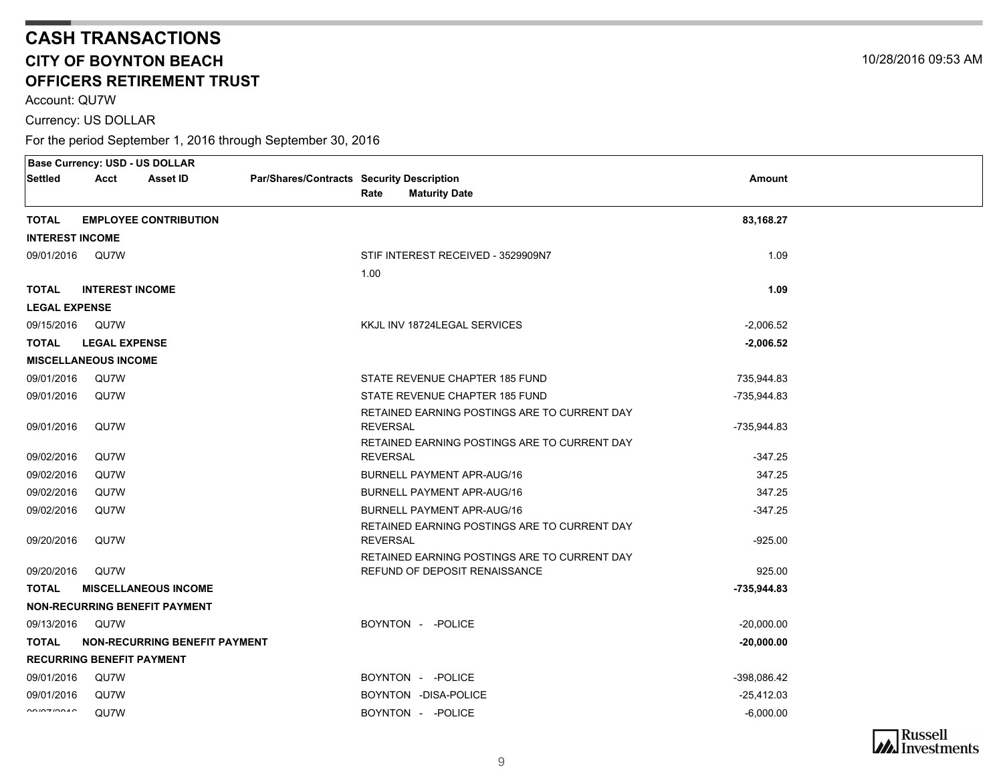Account: QU7W

Currency: US DOLLAR

|                                                                                                                                                                                                                                                                                                                                                                                                                                                               | <b>Base Currency: USD - US DOLLAR</b> |                                      |                                           |                 |                                                                                   |               |  |
|---------------------------------------------------------------------------------------------------------------------------------------------------------------------------------------------------------------------------------------------------------------------------------------------------------------------------------------------------------------------------------------------------------------------------------------------------------------|---------------------------------------|--------------------------------------|-------------------------------------------|-----------------|-----------------------------------------------------------------------------------|---------------|--|
| <b>Settled</b>                                                                                                                                                                                                                                                                                                                                                                                                                                                | Acct                                  | <b>Asset ID</b>                      | Par/Shares/Contracts Security Description |                 |                                                                                   | <b>Amount</b> |  |
|                                                                                                                                                                                                                                                                                                                                                                                                                                                               |                                       |                                      |                                           | Rate            | <b>Maturity Date</b>                                                              |               |  |
| <b>TOTAL</b>                                                                                                                                                                                                                                                                                                                                                                                                                                                  |                                       | <b>EMPLOYEE CONTRIBUTION</b>         |                                           |                 |                                                                                   | 83,168.27     |  |
| <b>INTEREST INCOME</b>                                                                                                                                                                                                                                                                                                                                                                                                                                        |                                       |                                      |                                           |                 |                                                                                   |               |  |
| 09/01/2016                                                                                                                                                                                                                                                                                                                                                                                                                                                    | QU7W                                  |                                      |                                           |                 | STIF INTEREST RECEIVED - 3529909N7                                                | 1.09          |  |
|                                                                                                                                                                                                                                                                                                                                                                                                                                                               |                                       |                                      |                                           | 1.00            |                                                                                   |               |  |
| <b>TOTAL</b>                                                                                                                                                                                                                                                                                                                                                                                                                                                  | <b>INTEREST INCOME</b>                |                                      |                                           |                 |                                                                                   | 1.09          |  |
| <b>LEGAL EXPENSE</b>                                                                                                                                                                                                                                                                                                                                                                                                                                          |                                       |                                      |                                           |                 |                                                                                   |               |  |
| 09/15/2016                                                                                                                                                                                                                                                                                                                                                                                                                                                    | QU7W                                  |                                      |                                           |                 | KKJL INV 18724LEGAL SERVICES                                                      | $-2,006.52$   |  |
| <b>TOTAL</b>                                                                                                                                                                                                                                                                                                                                                                                                                                                  | <b>LEGAL EXPENSE</b>                  |                                      |                                           |                 |                                                                                   | $-2,006.52$   |  |
|                                                                                                                                                                                                                                                                                                                                                                                                                                                               | <b>MISCELLANEOUS INCOME</b>           |                                      |                                           |                 |                                                                                   |               |  |
| 09/01/2016                                                                                                                                                                                                                                                                                                                                                                                                                                                    | QU7W                                  |                                      |                                           |                 | STATE REVENUE CHAPTER 185 FUND                                                    | 735,944.83    |  |
| 09/01/2016                                                                                                                                                                                                                                                                                                                                                                                                                                                    | QU7W                                  |                                      |                                           |                 | STATE REVENUE CHAPTER 185 FUND                                                    | -735,944.83   |  |
|                                                                                                                                                                                                                                                                                                                                                                                                                                                               |                                       |                                      |                                           |                 | RETAINED EARNING POSTINGS ARE TO CURRENT DAY                                      |               |  |
| 09/01/2016                                                                                                                                                                                                                                                                                                                                                                                                                                                    | QU7W                                  |                                      |                                           | <b>REVERSAL</b> |                                                                                   | -735,944.83   |  |
| 09/02/2016                                                                                                                                                                                                                                                                                                                                                                                                                                                    | QU7W                                  |                                      |                                           | <b>REVERSAL</b> | RETAINED EARNING POSTINGS ARE TO CURRENT DAY                                      | $-347.25$     |  |
| 09/02/2016                                                                                                                                                                                                                                                                                                                                                                                                                                                    | QU7W                                  |                                      |                                           |                 | <b>BURNELL PAYMENT APR-AUG/16</b>                                                 | 347.25        |  |
|                                                                                                                                                                                                                                                                                                                                                                                                                                                               |                                       |                                      |                                           |                 |                                                                                   | 347.25        |  |
| 09/02/2016                                                                                                                                                                                                                                                                                                                                                                                                                                                    | QU7W                                  |                                      |                                           |                 | <b>BURNELL PAYMENT APR-AUG/16</b>                                                 |               |  |
| 09/02/2016                                                                                                                                                                                                                                                                                                                                                                                                                                                    | QU7W                                  |                                      |                                           |                 | <b>BURNELL PAYMENT APR-AUG/16</b><br>RETAINED EARNING POSTINGS ARE TO CURRENT DAY | $-347.25$     |  |
| 09/20/2016                                                                                                                                                                                                                                                                                                                                                                                                                                                    | QU7W                                  |                                      |                                           | <b>REVERSAL</b> |                                                                                   | $-925.00$     |  |
|                                                                                                                                                                                                                                                                                                                                                                                                                                                               |                                       |                                      |                                           |                 | RETAINED EARNING POSTINGS ARE TO CURRENT DAY                                      |               |  |
| 09/20/2016                                                                                                                                                                                                                                                                                                                                                                                                                                                    | QU7W                                  |                                      |                                           |                 | REFUND OF DEPOSIT RENAISSANCE                                                     | 925.00        |  |
| <b>TOTAL</b>                                                                                                                                                                                                                                                                                                                                                                                                                                                  |                                       | <b>MISCELLANEOUS INCOME</b>          |                                           |                 |                                                                                   | $-735,944.83$ |  |
|                                                                                                                                                                                                                                                                                                                                                                                                                                                               |                                       | <b>NON-RECURRING BENEFIT PAYMENT</b> |                                           |                 |                                                                                   |               |  |
| 09/13/2016                                                                                                                                                                                                                                                                                                                                                                                                                                                    | QU7W                                  |                                      |                                           |                 | BOYNTON - - POLICE                                                                | $-20,000.00$  |  |
| <b>TOTAL</b>                                                                                                                                                                                                                                                                                                                                                                                                                                                  |                                       | <b>NON-RECURRING BENEFIT PAYMENT</b> |                                           |                 |                                                                                   | $-20,000.00$  |  |
|                                                                                                                                                                                                                                                                                                                                                                                                                                                               | <b>RECURRING BENEFIT PAYMENT</b>      |                                      |                                           |                 |                                                                                   |               |  |
| 09/01/2016                                                                                                                                                                                                                                                                                                                                                                                                                                                    | QU7W                                  |                                      |                                           |                 | BOYNTON - - POLICE                                                                | -398,086.42   |  |
| 09/01/2016                                                                                                                                                                                                                                                                                                                                                                                                                                                    | QU7W                                  |                                      |                                           |                 | BOYNTON -DISA-POLICE                                                              | $-25,412.03$  |  |
| $\begin{array}{c}\n\sqrt{2} \\ \sqrt{2} \\ \sqrt{2} \\ \sqrt{2} \\ \sqrt{2} \\ \sqrt{2} \\ \sqrt{2} \\ \sqrt{2} \\ \sqrt{2} \\ \sqrt{2} \\ \sqrt{2} \\ \sqrt{2} \\ \sqrt{2} \\ \sqrt{2} \\ \sqrt{2} \\ \sqrt{2} \\ \sqrt{2} \\ \sqrt{2} \\ \sqrt{2} \\ \sqrt{2} \\ \sqrt{2} \\ \sqrt{2} \\ \sqrt{2} \\ \sqrt{2} \\ \sqrt{2} \\ \sqrt{2} \\ \sqrt{2} \\ \sqrt{2} \\ \sqrt{2} \\ \sqrt{2} \\ \sqrt{2} \\ \sqrt{2} \\ \sqrt{2} \\ \sqrt{2} \\ \sqrt{2} \\ \sqrt$ | QU7W                                  |                                      |                                           |                 | BOYNTON - - POLICE                                                                | $-6,000.00$   |  |
|                                                                                                                                                                                                                                                                                                                                                                                                                                                               |                                       |                                      |                                           |                 |                                                                                   |               |  |

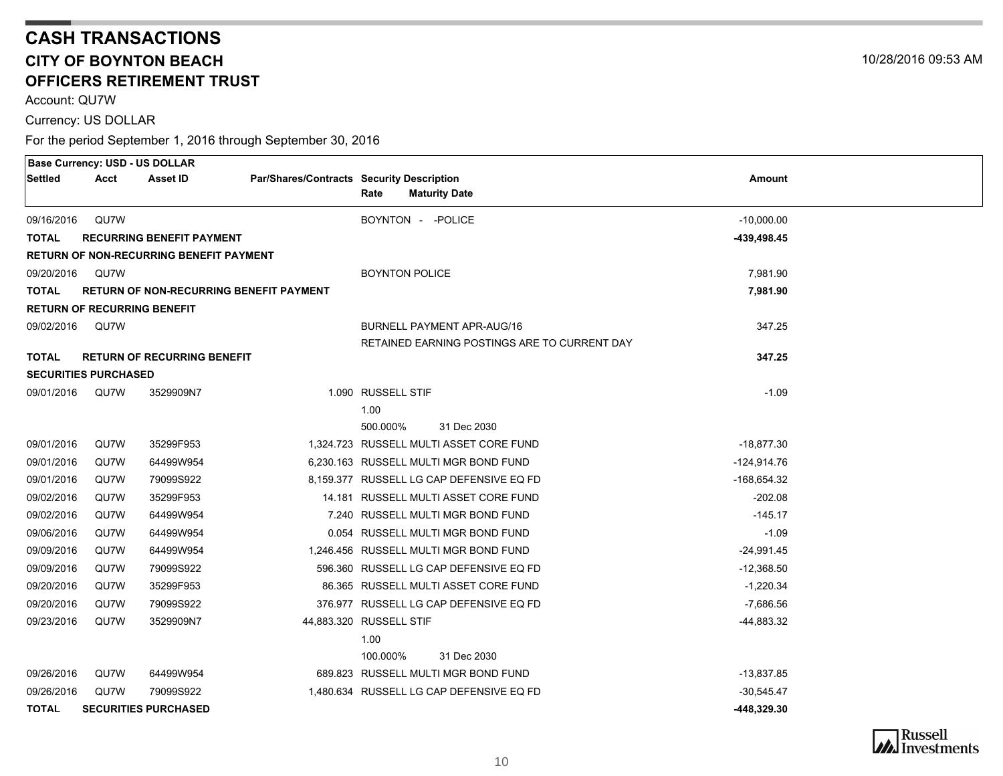Account: QU7W

Currency: US DOLLAR

|              | <b>Base Currency: USD - US DOLLAR</b> |                                                |                                           |                       |                                              |               |  |
|--------------|---------------------------------------|------------------------------------------------|-------------------------------------------|-----------------------|----------------------------------------------|---------------|--|
| Settled      | Acct                                  | <b>Asset ID</b>                                | Par/Shares/Contracts Security Description |                       |                                              | Amount        |  |
|              |                                       |                                                |                                           | Rate                  | <b>Maturity Date</b>                         |               |  |
| 09/16/2016   | QU7W                                  |                                                |                                           | BOYNTON - - POLICE    |                                              | $-10,000.00$  |  |
| <b>TOTAL</b> |                                       | <b>RECURRING BENEFIT PAYMENT</b>               |                                           |                       |                                              | -439,498.45   |  |
|              |                                       | <b>RETURN OF NON-RECURRING BENEFIT PAYMENT</b> |                                           |                       |                                              |               |  |
| 09/20/2016   | QU7W                                  |                                                |                                           | <b>BOYNTON POLICE</b> |                                              | 7,981.90      |  |
| <b>TOTAL</b> |                                       | <b>RETURN OF NON-RECURRING BENEFIT PAYMENT</b> |                                           |                       |                                              | 7,981.90      |  |
|              | <b>RETURN OF RECURRING BENEFIT</b>    |                                                |                                           |                       |                                              |               |  |
| 09/02/2016   | QU7W                                  |                                                |                                           |                       | <b>BURNELL PAYMENT APR-AUG/16</b>            | 347.25        |  |
|              |                                       |                                                |                                           |                       | RETAINED EARNING POSTINGS ARE TO CURRENT DAY |               |  |
| <b>TOTAL</b> |                                       | <b>RETURN OF RECURRING BENEFIT</b>             |                                           |                       |                                              | 347.25        |  |
|              | <b>SECURITIES PURCHASED</b>           |                                                |                                           |                       |                                              |               |  |
| 09/01/2016   | QU7W                                  | 3529909N7                                      |                                           | 1.090 RUSSELL STIF    |                                              | $-1.09$       |  |
|              |                                       |                                                |                                           | 1.00                  |                                              |               |  |
|              |                                       |                                                |                                           | 500.000%              | 31 Dec 2030                                  |               |  |
| 09/01/2016   | QU7W                                  | 35299F953                                      |                                           |                       | 1,324.723 RUSSELL MULTI ASSET CORE FUND      | $-18,877.30$  |  |
| 09/01/2016   | QU7W                                  | 64499W954                                      |                                           |                       | 6,230.163 RUSSELL MULTI MGR BOND FUND        | $-124,914.76$ |  |
| 09/01/2016   | QU7W                                  | 79099S922                                      |                                           |                       | 8,159.377 RUSSELL LG CAP DEFENSIVE EQ FD     | $-168,654.32$ |  |
| 09/02/2016   | QU7W                                  | 35299F953                                      |                                           |                       | 14.181 RUSSELL MULTI ASSET CORE FUND         | $-202.08$     |  |
| 09/02/2016   | QU7W                                  | 64499W954                                      |                                           |                       | 7.240 RUSSELL MULTI MGR BOND FUND            | $-145.17$     |  |
| 09/06/2016   | QU7W                                  | 64499W954                                      |                                           |                       | 0.054 RUSSELL MULTI MGR BOND FUND            | $-1.09$       |  |
| 09/09/2016   | QU7W                                  | 64499W954                                      |                                           |                       | 1,246.456 RUSSELL MULTI MGR BOND FUND        | $-24,991.45$  |  |
| 09/09/2016   | QU7W                                  | 79099S922                                      |                                           |                       | 596.360 RUSSELL LG CAP DEFENSIVE EQ FD       | $-12,368.50$  |  |
| 09/20/2016   | QU7W                                  | 35299F953                                      |                                           |                       | 86.365 RUSSELL MULTI ASSET CORE FUND         | $-1,220.34$   |  |
| 09/20/2016   | QU7W                                  | 79099S922                                      |                                           |                       | 376.977 RUSSELL LG CAP DEFENSIVE EQ FD       | $-7,686.56$   |  |
| 09/23/2016   | QU7W                                  | 3529909N7                                      | 44,883.320 RUSSELL STIF                   |                       |                                              | -44,883.32    |  |
|              |                                       |                                                |                                           | 1.00                  |                                              |               |  |
|              |                                       |                                                |                                           | 100.000%              | 31 Dec 2030                                  |               |  |
| 09/26/2016   | QU7W                                  | 64499W954                                      |                                           |                       | 689.823 RUSSELL MULTI MGR BOND FUND          | $-13,837.85$  |  |
| 09/26/2016   | QU7W                                  | 79099S922                                      |                                           |                       | 1,480.634 RUSSELL LG CAP DEFENSIVE EQ FD     | $-30,545.47$  |  |
| <b>TOTAL</b> |                                       | <b>SECURITIES PURCHASED</b>                    |                                           |                       |                                              | -448,329.30   |  |

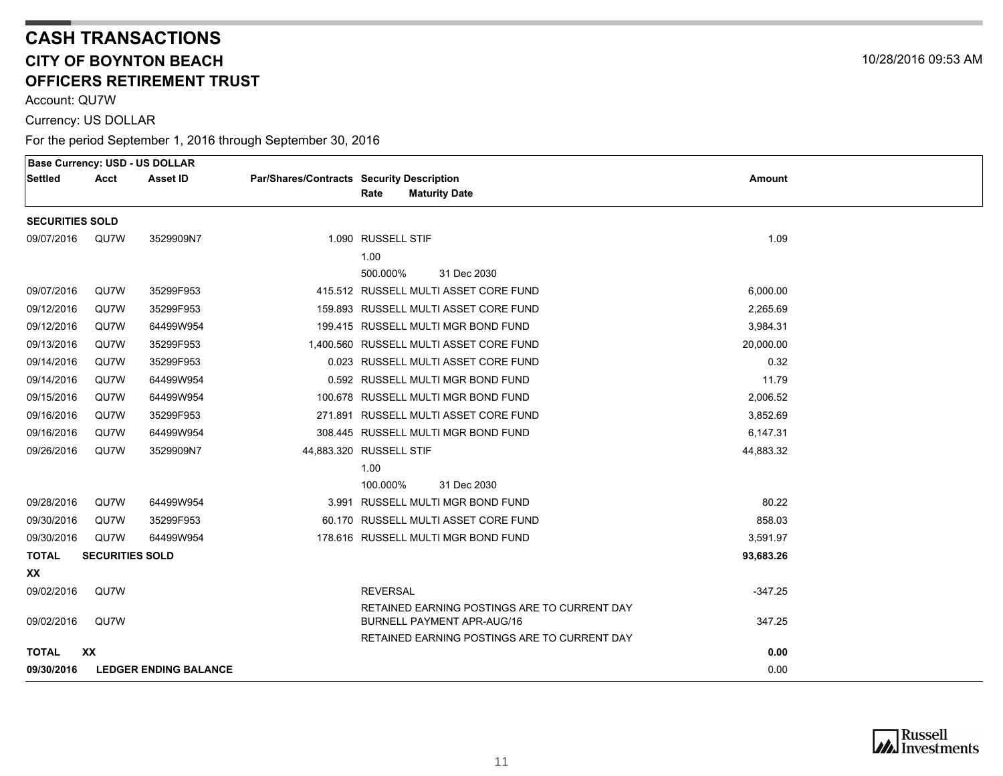Account: QU7W

Currency: US DOLLAR

|                        |                        | <b>Base Currency: USD - US DOLLAR</b> |                                           |                                              |           |  |
|------------------------|------------------------|---------------------------------------|-------------------------------------------|----------------------------------------------|-----------|--|
| <b>Settled</b>         | Acct                   | Asset ID                              | Par/Shares/Contracts Security Description |                                              | Amount    |  |
|                        |                        |                                       |                                           | Rate<br><b>Maturity Date</b>                 |           |  |
| <b>SECURITIES SOLD</b> |                        |                                       |                                           |                                              |           |  |
| 09/07/2016             | QU7W                   | 3529909N7                             |                                           | 1.090 RUSSELL STIF                           | 1.09      |  |
|                        |                        |                                       |                                           | 1.00                                         |           |  |
|                        |                        |                                       |                                           | 500.000%<br>31 Dec 2030                      |           |  |
| 09/07/2016             | QU7W                   | 35299F953                             |                                           | 415.512 RUSSELL MULTI ASSET CORE FUND        | 6.000.00  |  |
| 09/12/2016             | QU7W                   | 35299F953                             |                                           | 159.893 RUSSELL MULTI ASSET CORE FUND        | 2.265.69  |  |
| 09/12/2016             | QU7W                   | 64499W954                             |                                           | 199.415 RUSSELL MULTI MGR BOND FUND          | 3,984.31  |  |
| 09/13/2016             | QU7W                   | 35299F953                             |                                           | 1,400.560 RUSSELL MULTI ASSET CORE FUND      | 20,000.00 |  |
| 09/14/2016             | QU7W                   | 35299F953                             |                                           | 0.023 RUSSELL MULTI ASSET CORE FUND          | 0.32      |  |
| 09/14/2016             | QU7W                   | 64499W954                             |                                           | 0.592 RUSSELL MULTI MGR BOND FUND            | 11.79     |  |
| 09/15/2016             | QU7W                   | 64499W954                             |                                           | 100.678 RUSSELL MULTI MGR BOND FUND          | 2,006.52  |  |
| 09/16/2016             | QU7W                   | 35299F953                             |                                           | 271.891 RUSSELL MULTI ASSET CORE FUND        | 3,852.69  |  |
| 09/16/2016             | QU7W                   | 64499W954                             |                                           | 308.445 RUSSELL MULTI MGR BOND FUND          | 6,147.31  |  |
| 09/26/2016             | QU7W                   | 3529909N7                             |                                           | 44,883.320 RUSSELL STIF                      | 44,883.32 |  |
|                        |                        |                                       |                                           | 1.00                                         |           |  |
|                        |                        |                                       |                                           | 100.000%<br>31 Dec 2030                      |           |  |
| 09/28/2016             | QU7W                   | 64499W954                             |                                           | 3.991 RUSSELL MULTI MGR BOND FUND            | 80.22     |  |
| 09/30/2016             | QU7W                   | 35299F953                             |                                           | 60.170 RUSSELL MULTI ASSET CORE FUND         | 858.03    |  |
| 09/30/2016             | QU7W                   | 64499W954                             |                                           | 178.616 RUSSELL MULTI MGR BOND FUND          | 3,591.97  |  |
| <b>TOTAL</b>           | <b>SECURITIES SOLD</b> |                                       |                                           |                                              | 93,683.26 |  |
| XX                     |                        |                                       |                                           |                                              |           |  |
| 09/02/2016             | QU7W                   |                                       |                                           | <b>REVERSAL</b>                              | $-347.25$ |  |
|                        |                        |                                       |                                           | RETAINED EARNING POSTINGS ARE TO CURRENT DAY |           |  |
| 09/02/2016             | QU7W                   |                                       |                                           | <b>BURNELL PAYMENT APR-AUG/16</b>            | 347.25    |  |
|                        | <b>XX</b>              |                                       |                                           | RETAINED EARNING POSTINGS ARE TO CURRENT DAY |           |  |
| <b>TOTAL</b>           |                        |                                       |                                           |                                              | 0.00      |  |
| 09/30/2016             |                        | <b>LEDGER ENDING BALANCE</b>          |                                           |                                              | 0.00      |  |



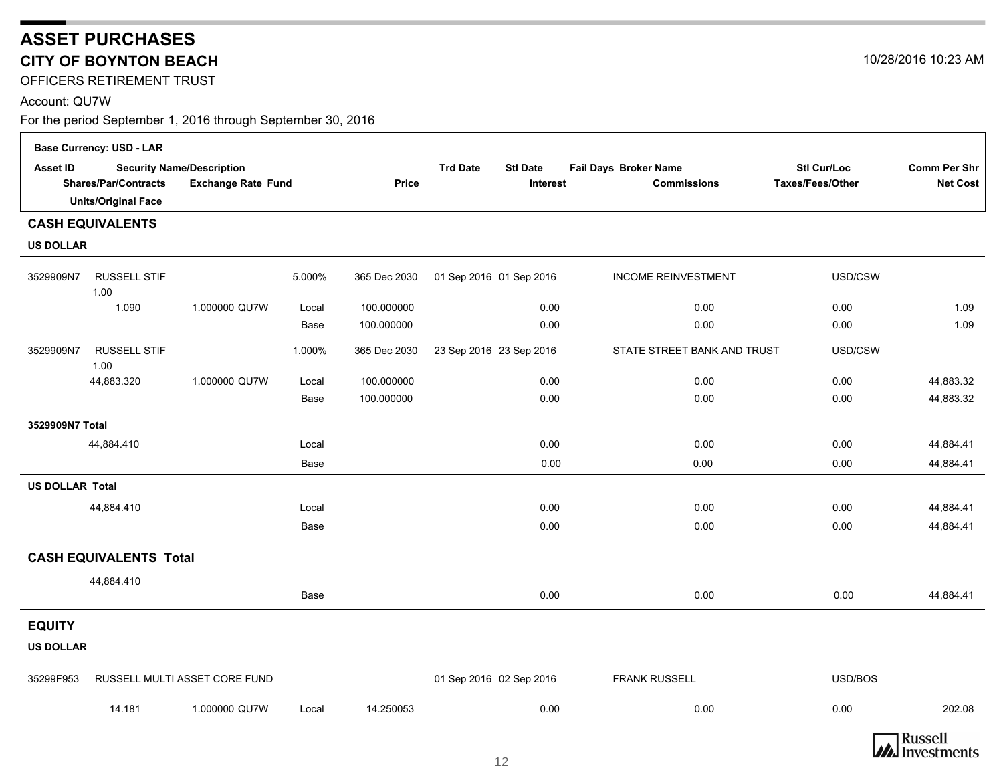<span id="page-11-0"></span>OFFICERS RETIREMENT TRUST

#### Account: QU7W

|                        | <b>Base Currency: USD - LAR</b>                           |                                                               |        |              |                                                |                                             |                                               |                                        |  |  |
|------------------------|-----------------------------------------------------------|---------------------------------------------------------------|--------|--------------|------------------------------------------------|---------------------------------------------|-----------------------------------------------|----------------------------------------|--|--|
| <b>Asset ID</b>        | <b>Shares/Par/Contracts</b><br><b>Units/Original Face</b> | <b>Security Name/Description</b><br><b>Exchange Rate Fund</b> |        | <b>Price</b> | <b>Trd Date</b><br><b>Stl Date</b><br>Interest | Fail Days Broker Name<br><b>Commissions</b> | <b>Stl Cur/Loc</b><br><b>Taxes/Fees/Other</b> | <b>Comm Per Shr</b><br><b>Net Cost</b> |  |  |
|                        |                                                           |                                                               |        |              |                                                |                                             |                                               |                                        |  |  |
|                        | <b>CASH EQUIVALENTS</b>                                   |                                                               |        |              |                                                |                                             |                                               |                                        |  |  |
| <b>US DOLLAR</b>       |                                                           |                                                               |        |              |                                                |                                             |                                               |                                        |  |  |
| 3529909N7              | <b>RUSSELL STIF</b><br>1.00                               |                                                               | 5.000% | 365 Dec 2030 | 01 Sep 2016 01 Sep 2016                        | <b>INCOME REINVESTMENT</b>                  | USD/CSW                                       |                                        |  |  |
|                        | 1.090                                                     | 1.000000 QU7W                                                 | Local  | 100.000000   | 0.00                                           | 0.00                                        | 0.00                                          | 1.09                                   |  |  |
|                        |                                                           |                                                               | Base   | 100.000000   | 0.00                                           | 0.00                                        | 0.00                                          | 1.09                                   |  |  |
| 3529909N7              | <b>RUSSELL STIF</b><br>1.00                               |                                                               | 1.000% | 365 Dec 2030 | 23 Sep 2016 23 Sep 2016                        | STATE STREET BANK AND TRUST                 | USD/CSW                                       |                                        |  |  |
|                        | 44,883.320                                                | 1.000000 QU7W                                                 | Local  | 100.000000   | 0.00                                           | 0.00                                        | 0.00                                          | 44,883.32                              |  |  |
|                        |                                                           |                                                               | Base   | 100.000000   | 0.00                                           | 0.00                                        | 0.00                                          | 44,883.32                              |  |  |
| 3529909N7 Total        |                                                           |                                                               |        |              |                                                |                                             |                                               |                                        |  |  |
|                        | 44,884.410                                                |                                                               | Local  |              | 0.00                                           | 0.00                                        | 0.00                                          | 44,884.41                              |  |  |
|                        |                                                           |                                                               | Base   |              | 0.00                                           | 0.00                                        | 0.00                                          | 44,884.41                              |  |  |
| <b>US DOLLAR Total</b> |                                                           |                                                               |        |              |                                                |                                             |                                               |                                        |  |  |
|                        | 44,884.410                                                |                                                               | Local  |              | 0.00                                           | 0.00                                        | 0.00                                          | 44,884.41                              |  |  |
|                        |                                                           |                                                               | Base   |              | 0.00                                           | 0.00                                        | 0.00                                          | 44,884.41                              |  |  |
|                        | <b>CASH EQUIVALENTS Total</b>                             |                                                               |        |              |                                                |                                             |                                               |                                        |  |  |
|                        | 44,884.410                                                |                                                               | Base   |              | 0.00                                           | 0.00                                        | 0.00                                          | 44,884.41                              |  |  |
| <b>EQUITY</b>          |                                                           |                                                               |        |              |                                                |                                             |                                               |                                        |  |  |
| <b>US DOLLAR</b>       |                                                           |                                                               |        |              |                                                |                                             |                                               |                                        |  |  |
| 35299F953              |                                                           | RUSSELL MULTI ASSET CORE FUND                                 |        |              | 01 Sep 2016 02 Sep 2016                        | <b>FRANK RUSSELL</b>                        | USD/BOS                                       |                                        |  |  |
|                        | 14.181                                                    | 1.000000 QU7W                                                 | Local  | 14.250053    | 0.00                                           | 0.00                                        | 0.00                                          | 202.08                                 |  |  |



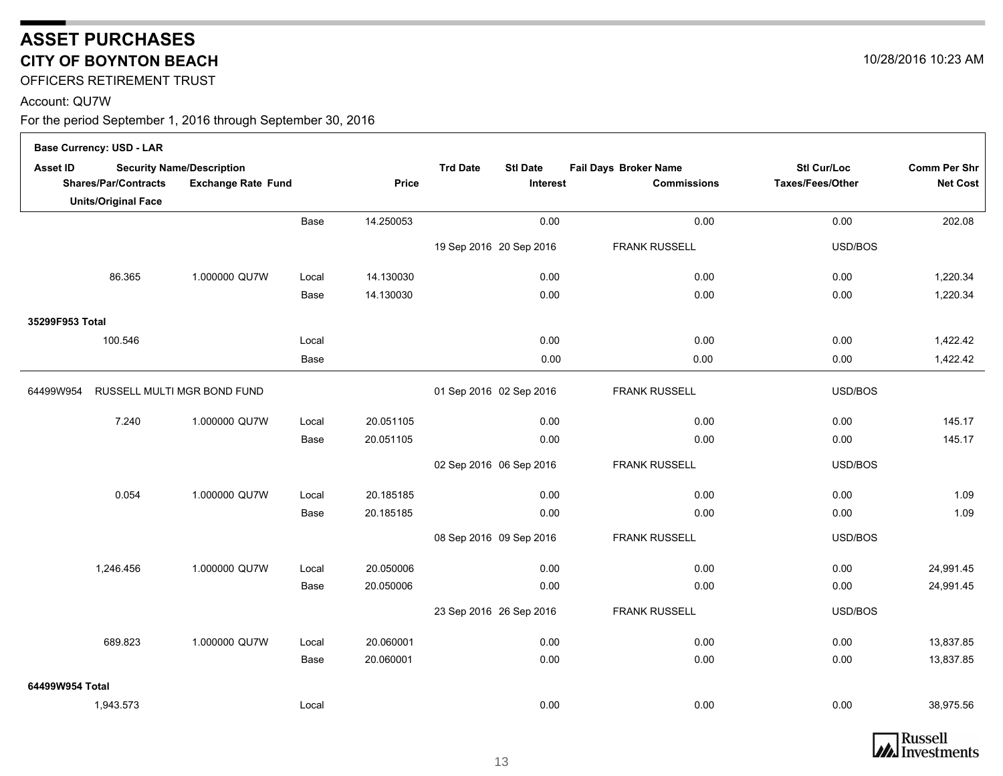OFFICERS RETIREMENT TRUST

#### Account: QU7W

 $\Box$ 

|                 | <b>Base Currency: USD - LAR</b> |                                                               |       |              |                                                |                                             |                                 |                                        |
|-----------------|---------------------------------|---------------------------------------------------------------|-------|--------------|------------------------------------------------|---------------------------------------------|---------------------------------|----------------------------------------|
| <b>Asset ID</b> | <b>Shares/Par/Contracts</b>     | <b>Security Name/Description</b><br><b>Exchange Rate Fund</b> |       | <b>Price</b> | <b>Trd Date</b><br><b>Stl Date</b><br>Interest | Fail Days Broker Name<br><b>Commissions</b> | Stl Cur/Loc<br>Taxes/Fees/Other | <b>Comm Per Shr</b><br><b>Net Cost</b> |
|                 | <b>Units/Original Face</b>      |                                                               |       |              |                                                |                                             |                                 |                                        |
|                 |                                 |                                                               | Base  | 14.250053    | 0.00                                           | 0.00                                        | 0.00                            | 202.08                                 |
|                 |                                 |                                                               |       |              | 19 Sep 2016 20 Sep 2016                        | <b>FRANK RUSSELL</b>                        | USD/BOS                         |                                        |
|                 | 86.365                          | 1.000000 QU7W                                                 | Local | 14.130030    | 0.00                                           | 0.00                                        | 0.00                            | 1,220.34                               |
|                 |                                 |                                                               | Base  | 14.130030    | 0.00                                           | 0.00                                        | 0.00                            | 1,220.34                               |
| 35299F953 Total |                                 |                                                               |       |              |                                                |                                             |                                 |                                        |
|                 | 100.546                         |                                                               | Local |              | 0.00                                           | 0.00                                        | 0.00                            | 1,422.42                               |
|                 |                                 |                                                               | Base  |              | 0.00                                           | 0.00                                        | 0.00                            | 1,422.42                               |
| 64499W954       |                                 | RUSSELL MULTI MGR BOND FUND                                   |       |              | 01 Sep 2016 02 Sep 2016                        | <b>FRANK RUSSELL</b>                        | USD/BOS                         |                                        |
|                 | 7.240                           | 1.000000 QU7W                                                 | Local | 20.051105    | 0.00                                           | 0.00                                        | 0.00                            | 145.17                                 |
|                 |                                 |                                                               | Base  | 20.051105    | 0.00                                           | 0.00                                        | 0.00                            | 145.17                                 |
|                 |                                 |                                                               |       |              | 02 Sep 2016 06 Sep 2016                        | <b>FRANK RUSSELL</b>                        | USD/BOS                         |                                        |
|                 | 0.054                           | 1.000000 QU7W                                                 | Local | 20.185185    | 0.00                                           | 0.00                                        | 0.00                            | 1.09                                   |
|                 |                                 |                                                               | Base  | 20.185185    | 0.00                                           | 0.00                                        | 0.00                            | 1.09                                   |
|                 |                                 |                                                               |       |              | 08 Sep 2016 09 Sep 2016                        | <b>FRANK RUSSELL</b>                        | USD/BOS                         |                                        |
|                 | 1,246.456                       | 1.000000 QU7W                                                 | Local | 20.050006    | 0.00                                           | 0.00                                        | 0.00                            | 24,991.45                              |
|                 |                                 |                                                               | Base  | 20.050006    | 0.00                                           | 0.00                                        | 0.00                            | 24,991.45                              |
|                 |                                 |                                                               |       |              | 23 Sep 2016 26 Sep 2016                        | <b>FRANK RUSSELL</b>                        | USD/BOS                         |                                        |
|                 | 689.823                         | 1.000000 QU7W                                                 | Local | 20.060001    | 0.00                                           | 0.00                                        | 0.00                            | 13,837.85                              |
|                 |                                 |                                                               | Base  | 20.060001    | 0.00                                           | 0.00                                        | 0.00                            | 13,837.85                              |
| 64499W954 Total |                                 |                                                               |       |              |                                                |                                             |                                 |                                        |
|                 | 1,943.573                       |                                                               | Local |              | 0.00                                           | 0.00                                        | 0.00                            | 38,975.56                              |



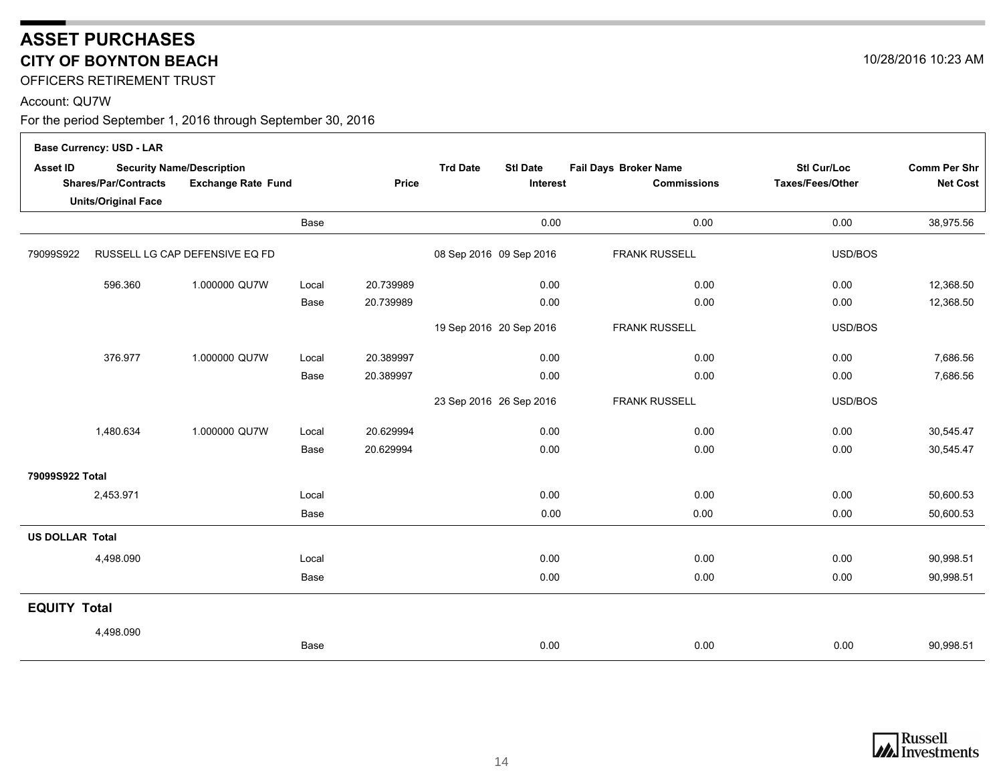OFFICERS RETIREMENT TRUST

#### Account: QU7W

 $\Gamma$ 

|                        | <b>Base Currency: USD - LAR</b>                           |                                                               |       |              |                                                |                                             |                                               |                                        |
|------------------------|-----------------------------------------------------------|---------------------------------------------------------------|-------|--------------|------------------------------------------------|---------------------------------------------|-----------------------------------------------|----------------------------------------|
| Asset ID               | <b>Shares/Par/Contracts</b><br><b>Units/Original Face</b> | <b>Security Name/Description</b><br><b>Exchange Rate Fund</b> |       | <b>Price</b> | <b>Trd Date</b><br><b>Stl Date</b><br>Interest | Fail Days Broker Name<br><b>Commissions</b> | <b>Stl Cur/Loc</b><br><b>Taxes/Fees/Other</b> | <b>Comm Per Shr</b><br><b>Net Cost</b> |
|                        |                                                           |                                                               | Base  |              | 0.00                                           | 0.00                                        | 0.00                                          | 38,975.56                              |
| 79099S922              |                                                           | RUSSELL LG CAP DEFENSIVE EQ FD                                |       |              | 08 Sep 2016 09 Sep 2016                        | <b>FRANK RUSSELL</b>                        | USD/BOS                                       |                                        |
|                        | 596.360                                                   | 1.000000 QU7W                                                 | Local | 20.739989    | 0.00                                           | 0.00                                        | 0.00                                          | 12,368.50                              |
|                        |                                                           |                                                               | Base  | 20.739989    | 0.00                                           | 0.00                                        | 0.00                                          | 12,368.50                              |
|                        |                                                           |                                                               |       |              | 19 Sep 2016 20 Sep 2016                        | <b>FRANK RUSSELL</b>                        | USD/BOS                                       |                                        |
|                        | 376.977                                                   | 1.000000 QU7W                                                 | Local | 20.389997    | 0.00                                           | 0.00                                        | 0.00                                          | 7,686.56                               |
|                        |                                                           |                                                               | Base  | 20.389997    | 0.00                                           | 0.00                                        | 0.00                                          | 7,686.56                               |
|                        |                                                           |                                                               |       |              | 23 Sep 2016 26 Sep 2016                        | <b>FRANK RUSSELL</b>                        | USD/BOS                                       |                                        |
|                        | 1,480.634                                                 | 1.000000 QU7W                                                 | Local | 20.629994    | 0.00                                           | 0.00                                        | 0.00                                          | 30,545.47                              |
|                        |                                                           |                                                               | Base  | 20.629994    | 0.00                                           | 0.00                                        | 0.00                                          | 30,545.47                              |
| 79099S922 Total        |                                                           |                                                               |       |              |                                                |                                             |                                               |                                        |
|                        | 2,453.971                                                 |                                                               | Local |              | 0.00                                           | 0.00                                        | 0.00                                          | 50,600.53                              |
|                        |                                                           |                                                               | Base  |              | 0.00                                           | 0.00                                        | 0.00                                          | 50,600.53                              |
| <b>US DOLLAR Total</b> |                                                           |                                                               |       |              |                                                |                                             |                                               |                                        |
|                        | 4,498.090                                                 |                                                               | Local |              | 0.00                                           | 0.00                                        | 0.00                                          | 90,998.51                              |
|                        |                                                           |                                                               | Base  |              | 0.00                                           | 0.00                                        | 0.00                                          | 90,998.51                              |
| <b>EQUITY Total</b>    |                                                           |                                                               |       |              |                                                |                                             |                                               |                                        |
|                        | 4,498.090                                                 |                                                               |       |              |                                                |                                             |                                               |                                        |
|                        |                                                           |                                                               | Base  |              | 0.00                                           | 0.00                                        | 0.00                                          | 90,998.51                              |



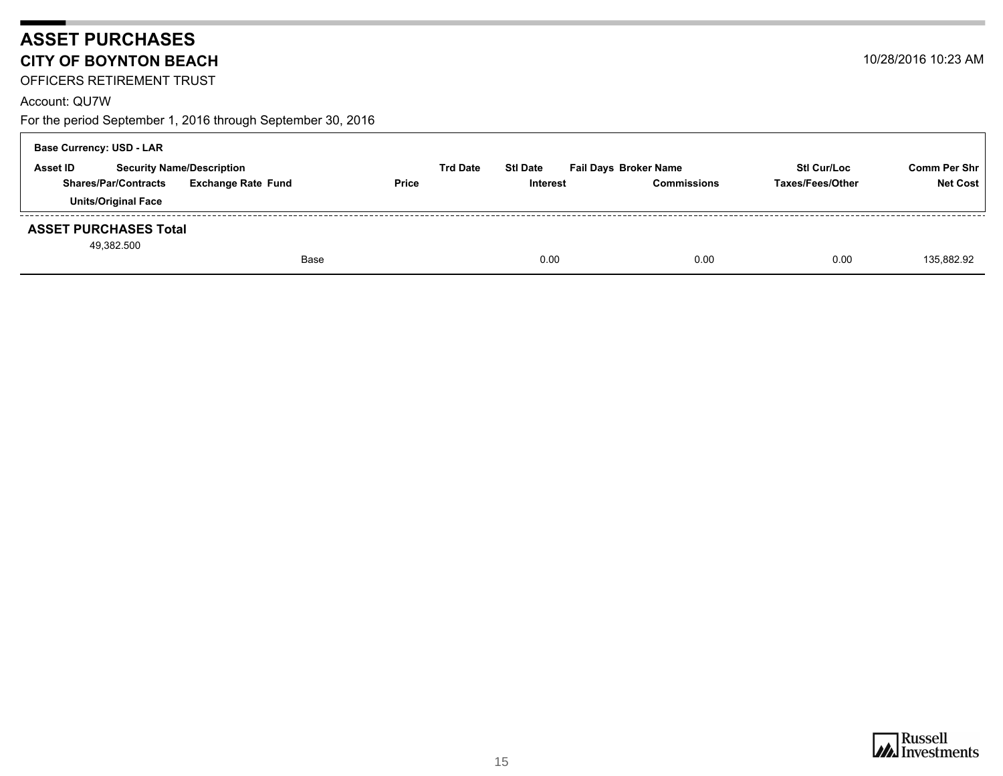OFFICERS RETIREMENT TRUST

#### Account: QU7W

For the period September 1, 2016 through September 30, 2016

| <b>Base Currency: USD - LAR</b>            |                                  |                 |                 |                              |                    |                 |  |  |  |  |  |
|--------------------------------------------|----------------------------------|-----------------|-----------------|------------------------------|--------------------|-----------------|--|--|--|--|--|
| Asset ID                                   | <b>Security Name/Description</b> | <b>Trd Date</b> | <b>Stl Date</b> | <b>Fail Days Broker Name</b> | <b>Stl Cur/Loc</b> | Comm Per Shr    |  |  |  |  |  |
| <b>Shares/Par/Contracts</b>                | <b>Exchange Rate Fund</b>        | <b>Price</b>    | <b>Interest</b> | <b>Commissions</b>           | Taxes/Fees/Other   | <b>Net Cost</b> |  |  |  |  |  |
| <b>Units/Original Face</b>                 |                                  |                 |                 |                              |                    |                 |  |  |  |  |  |
| <b>ASSET PURCHASES Total</b><br>49,382.500 |                                  |                 |                 |                              |                    |                 |  |  |  |  |  |
|                                            | Base                             |                 | 0.00            | 0.00                         | 0.00               | 135.882.92      |  |  |  |  |  |

10/28/2016 10:23 AM

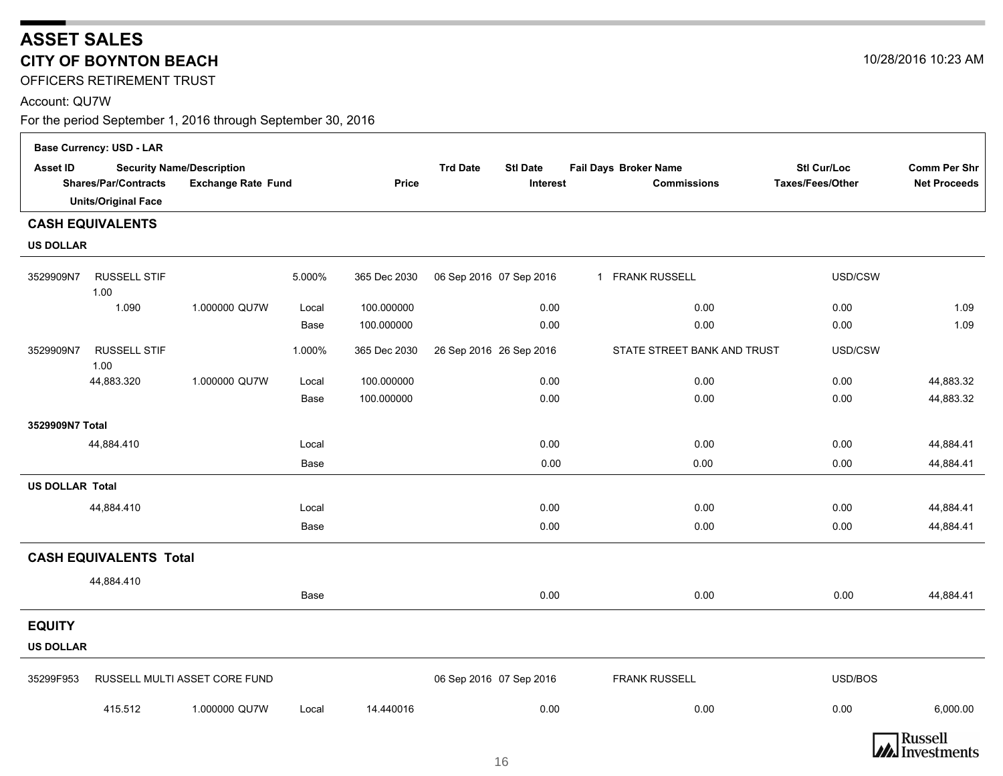OFFICERS RETIREMENT TRUST

#### Account: QU7W

|                        | <b>Base Currency: USD - LAR</b>                           |                                                               |             |              |                                                       |                                             |                                               |                                            |  |  |  |  |  |
|------------------------|-----------------------------------------------------------|---------------------------------------------------------------|-------------|--------------|-------------------------------------------------------|---------------------------------------------|-----------------------------------------------|--------------------------------------------|--|--|--|--|--|
| Asset ID               | <b>Shares/Par/Contracts</b><br><b>Units/Original Face</b> | <b>Security Name/Description</b><br><b>Exchange Rate Fund</b> |             | Price        | <b>Trd Date</b><br><b>Stl Date</b><br><b>Interest</b> | Fail Days Broker Name<br><b>Commissions</b> | <b>Stl Cur/Loc</b><br><b>Taxes/Fees/Other</b> | <b>Comm Per Shr</b><br><b>Net Proceeds</b> |  |  |  |  |  |
|                        | <b>CASH EQUIVALENTS</b>                                   |                                                               |             |              |                                                       |                                             |                                               |                                            |  |  |  |  |  |
| <b>US DOLLAR</b>       |                                                           |                                                               |             |              |                                                       |                                             |                                               |                                            |  |  |  |  |  |
| 3529909N7              | <b>RUSSELL STIF</b><br>1.00                               |                                                               | 5.000%      | 365 Dec 2030 | 06 Sep 2016 07 Sep 2016                               | 1 FRANK RUSSELL                             | USD/CSW                                       |                                            |  |  |  |  |  |
|                        | 1.090                                                     | 1.000000 QU7W                                                 | Local       | 100.000000   | 0.00                                                  | 0.00                                        | 0.00                                          | 1.09                                       |  |  |  |  |  |
|                        |                                                           |                                                               | Base        | 100.000000   | 0.00                                                  | 0.00                                        | 0.00                                          | 1.09                                       |  |  |  |  |  |
| 3529909N7              | <b>RUSSELL STIF</b><br>1.00                               |                                                               | 1.000%      | 365 Dec 2030 | 26 Sep 2016 26 Sep 2016                               | STATE STREET BANK AND TRUST                 | USD/CSW                                       |                                            |  |  |  |  |  |
|                        | 44,883.320                                                | 1.000000 QU7W                                                 | Local       | 100.000000   | 0.00                                                  | 0.00                                        | 0.00                                          | 44,883.32                                  |  |  |  |  |  |
|                        |                                                           |                                                               | Base        | 100.000000   | 0.00                                                  | 0.00                                        | 0.00                                          | 44,883.32                                  |  |  |  |  |  |
| 3529909N7 Total        |                                                           |                                                               |             |              |                                                       |                                             |                                               |                                            |  |  |  |  |  |
|                        | 44,884.410                                                |                                                               | Local       |              | 0.00                                                  | 0.00                                        | 0.00                                          | 44,884.41                                  |  |  |  |  |  |
|                        |                                                           |                                                               | <b>Base</b> |              | 0.00                                                  | 0.00                                        | 0.00                                          | 44,884.41                                  |  |  |  |  |  |
| <b>US DOLLAR Total</b> |                                                           |                                                               |             |              |                                                       |                                             |                                               |                                            |  |  |  |  |  |
|                        | 44,884.410                                                |                                                               | Local       |              | 0.00                                                  | 0.00                                        | 0.00                                          | 44,884.41                                  |  |  |  |  |  |
|                        |                                                           |                                                               | Base        |              | 0.00                                                  | 0.00                                        | 0.00                                          | 44,884.41                                  |  |  |  |  |  |
|                        | <b>CASH EQUIVALENTS Total</b>                             |                                                               |             |              |                                                       |                                             |                                               |                                            |  |  |  |  |  |
|                        | 44,884.410                                                |                                                               |             |              |                                                       |                                             |                                               |                                            |  |  |  |  |  |
|                        |                                                           |                                                               | Base        |              | 0.00                                                  | 0.00                                        | 0.00                                          | 44,884.41                                  |  |  |  |  |  |
| <b>EQUITY</b>          |                                                           |                                                               |             |              |                                                       |                                             |                                               |                                            |  |  |  |  |  |
| <b>US DOLLAR</b>       |                                                           |                                                               |             |              |                                                       |                                             |                                               |                                            |  |  |  |  |  |
| 35299F953              |                                                           | RUSSELL MULTI ASSET CORE FUND                                 |             |              | 06 Sep 2016 07 Sep 2016                               | <b>FRANK RUSSELL</b>                        | USD/BOS                                       |                                            |  |  |  |  |  |
|                        | 415.512                                                   | 1.000000 QU7W                                                 | Local       | 14.440016    | 0.00                                                  | 0.00                                        | 0.00                                          | 6,000.00                                   |  |  |  |  |  |



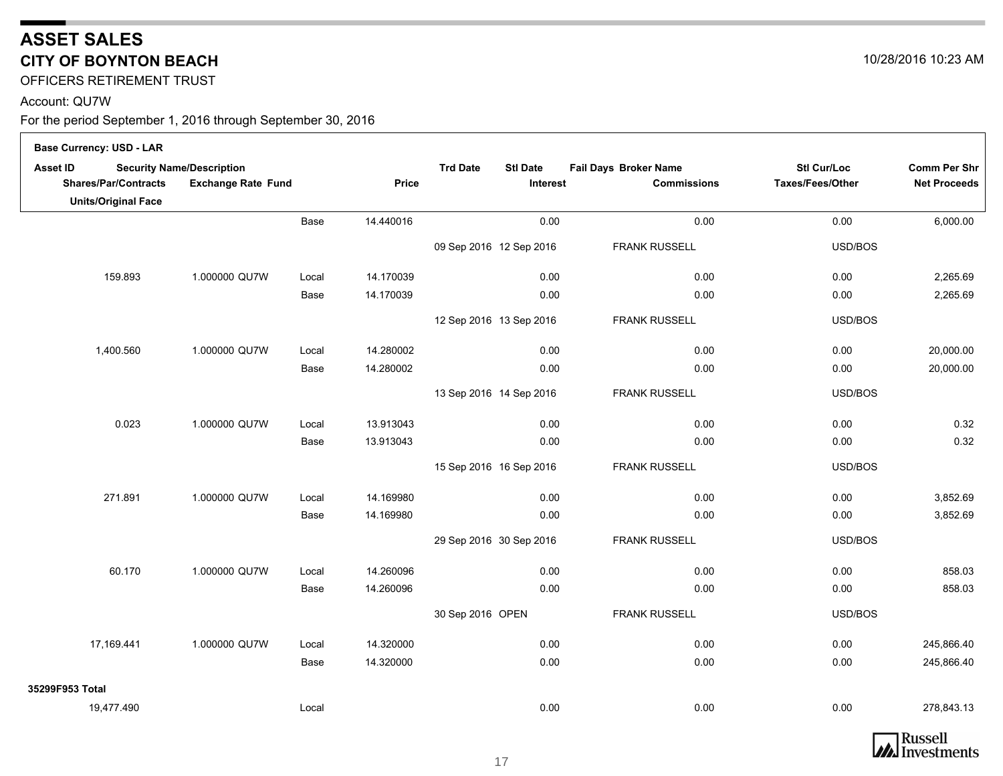OFFICERS RETIREMENT TRUST

#### Account: QU7W

 $\Gamma$ 

| <b>Base Currency: USD - LAR</b>                |                                                               |       |           |                                    |          |                                             |                                 |                                            |
|------------------------------------------------|---------------------------------------------------------------|-------|-----------|------------------------------------|----------|---------------------------------------------|---------------------------------|--------------------------------------------|
| <b>Asset ID</b><br><b>Shares/Par/Contracts</b> | <b>Security Name/Description</b><br><b>Exchange Rate Fund</b> |       | Price     | <b>Trd Date</b><br><b>Stl Date</b> | Interest | Fail Days Broker Name<br><b>Commissions</b> | Stl Cur/Loc<br>Taxes/Fees/Other | <b>Comm Per Shr</b><br><b>Net Proceeds</b> |
| <b>Units/Original Face</b>                     |                                                               |       |           |                                    |          |                                             |                                 |                                            |
|                                                |                                                               | Base  | 14.440016 |                                    | 0.00     | 0.00                                        | 0.00                            | 6,000.00                                   |
|                                                |                                                               |       |           | 09 Sep 2016 12 Sep 2016            |          | <b>FRANK RUSSELL</b>                        | USD/BOS                         |                                            |
| 159.893                                        | 1.000000 QU7W                                                 | Local | 14.170039 |                                    | 0.00     | 0.00                                        | 0.00                            | 2,265.69                                   |
|                                                |                                                               | Base  | 14.170039 |                                    | 0.00     | 0.00                                        | 0.00                            | 2,265.69                                   |
|                                                |                                                               |       |           | 12 Sep 2016 13 Sep 2016            |          | <b>FRANK RUSSELL</b>                        | USD/BOS                         |                                            |
| 1,400.560                                      | 1.000000 QU7W                                                 | Local | 14.280002 |                                    | 0.00     | 0.00                                        | 0.00                            | 20,000.00                                  |
|                                                |                                                               | Base  | 14.280002 |                                    | 0.00     | 0.00                                        | 0.00                            | 20,000.00                                  |
|                                                |                                                               |       |           | 13 Sep 2016 14 Sep 2016            |          | <b>FRANK RUSSELL</b>                        | USD/BOS                         |                                            |
| 0.023                                          | 1.000000 QU7W                                                 | Local | 13.913043 |                                    | 0.00     | 0.00                                        | 0.00                            | 0.32                                       |
|                                                |                                                               | Base  | 13.913043 |                                    | 0.00     | 0.00                                        | 0.00                            | 0.32                                       |
|                                                |                                                               |       |           | 15 Sep 2016 16 Sep 2016            |          | <b>FRANK RUSSELL</b>                        | USD/BOS                         |                                            |
| 271.891                                        | 1.000000 QU7W                                                 | Local | 14.169980 |                                    | 0.00     | 0.00                                        | 0.00                            | 3,852.69                                   |
|                                                |                                                               | Base  | 14.169980 |                                    | 0.00     | 0.00                                        | 0.00                            | 3,852.69                                   |
|                                                |                                                               |       |           | 29 Sep 2016 30 Sep 2016            |          | FRANK RUSSELL                               | USD/BOS                         |                                            |
| 60.170                                         | 1.000000 QU7W                                                 | Local | 14.260096 |                                    | 0.00     | 0.00                                        | 0.00                            | 858.03                                     |
|                                                |                                                               | Base  | 14.260096 |                                    | 0.00     | 0.00                                        | 0.00                            | 858.03                                     |
|                                                |                                                               |       |           | 30 Sep 2016 OPEN                   |          | <b>FRANK RUSSELL</b>                        | USD/BOS                         |                                            |
| 17,169.441                                     | 1.000000 QU7W                                                 | Local | 14.320000 |                                    | 0.00     | 0.00                                        | 0.00                            | 245,866.40                                 |
|                                                |                                                               | Base  | 14.320000 |                                    | 0.00     | 0.00                                        | 0.00                            | 245,866.40                                 |
| 35299F953 Total                                |                                                               |       |           |                                    |          |                                             |                                 |                                            |
| 19,477.490                                     |                                                               | Local |           |                                    | 0.00     | 0.00                                        | 0.00                            | 278,843.13                                 |

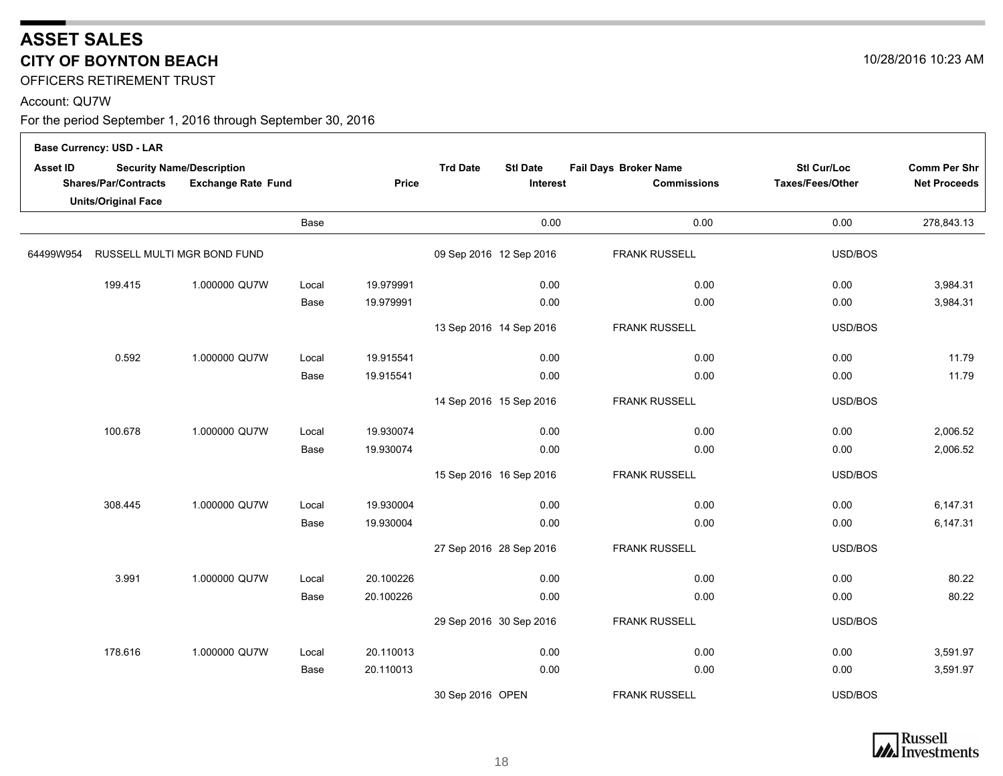OFFICERS RETIREMENT TRUST

#### Account: QU7W

|           | <b>Base Currency: USD - LAR</b> |                                  |       |           |                         |                 |                       |                    |                     |
|-----------|---------------------------------|----------------------------------|-------|-----------|-------------------------|-----------------|-----------------------|--------------------|---------------------|
| Asset ID  |                                 | <b>Security Name/Description</b> |       |           | <b>Trd Date</b>         | <b>Stl Date</b> | Fail Days Broker Name | <b>Stl Cur/Loc</b> | <b>Comm Per Shr</b> |
|           | Shares/Par/Contracts            | <b>Exchange Rate Fund</b>        |       | Price     |                         | Interest        | <b>Commissions</b>    | Taxes/Fees/Other   | <b>Net Proceeds</b> |
|           | <b>Units/Original Face</b>      |                                  |       |           |                         |                 |                       |                    |                     |
|           |                                 |                                  | Base  |           |                         | 0.00            | 0.00                  | 0.00               | 278,843.13          |
| 64499W954 |                                 | RUSSELL MULTI MGR BOND FUND      |       |           | 09 Sep 2016 12 Sep 2016 |                 | <b>FRANK RUSSELL</b>  | USD/BOS            |                     |
|           | 199.415                         | 1.000000 QU7W                    | Local | 19.979991 |                         | 0.00            | 0.00                  | 0.00               | 3,984.31            |
|           |                                 |                                  | Base  | 19.979991 |                         | 0.00            | 0.00                  | 0.00               | 3,984.31            |
|           |                                 |                                  |       |           | 13 Sep 2016 14 Sep 2016 |                 | <b>FRANK RUSSELL</b>  | USD/BOS            |                     |
|           | 0.592                           | 1.000000 QU7W                    | Local | 19.915541 |                         | 0.00            | 0.00                  | 0.00               | 11.79               |
|           |                                 |                                  | Base  | 19.915541 |                         | 0.00            | 0.00                  | 0.00               | 11.79               |
|           |                                 |                                  |       |           | 14 Sep 2016 15 Sep 2016 |                 | <b>FRANK RUSSELL</b>  | USD/BOS            |                     |
|           | 100.678                         | 1.000000 QU7W                    | Local | 19.930074 |                         | 0.00            | 0.00                  | 0.00               | 2,006.52            |
|           |                                 |                                  | Base  | 19.930074 |                         | 0.00            | 0.00                  | 0.00               | 2,006.52            |
|           |                                 |                                  |       |           | 15 Sep 2016 16 Sep 2016 |                 | <b>FRANK RUSSELL</b>  | USD/BOS            |                     |
|           | 308.445                         | 1.000000 QU7W                    | Local | 19.930004 |                         | 0.00            | 0.00                  | 0.00               | 6,147.31            |
|           |                                 |                                  | Base  | 19.930004 |                         | 0.00            | 0.00                  | 0.00               | 6,147.31            |
|           |                                 |                                  |       |           | 27 Sep 2016 28 Sep 2016 |                 | <b>FRANK RUSSELL</b>  | USD/BOS            |                     |
|           | 3.991                           | 1.000000 QU7W                    | Local | 20.100226 |                         | 0.00            | 0.00                  | 0.00               | 80.22               |
|           |                                 |                                  | Base  | 20.100226 |                         | 0.00            | 0.00                  | 0.00               | 80.22               |
|           |                                 |                                  |       |           | 29 Sep 2016 30 Sep 2016 |                 | <b>FRANK RUSSELL</b>  | USD/BOS            |                     |
|           | 178.616                         | 1.000000 QU7W                    | Local | 20.110013 |                         | 0.00            | 0.00                  | 0.00               | 3,591.97            |
|           |                                 |                                  | Base  | 20.110013 |                         | 0.00            | 0.00                  | 0.00               | 3,591.97            |
|           |                                 |                                  |       |           | 30 Sep 2016 OPEN        |                 | <b>FRANK RUSSELL</b>  | USD/BOS            |                     |

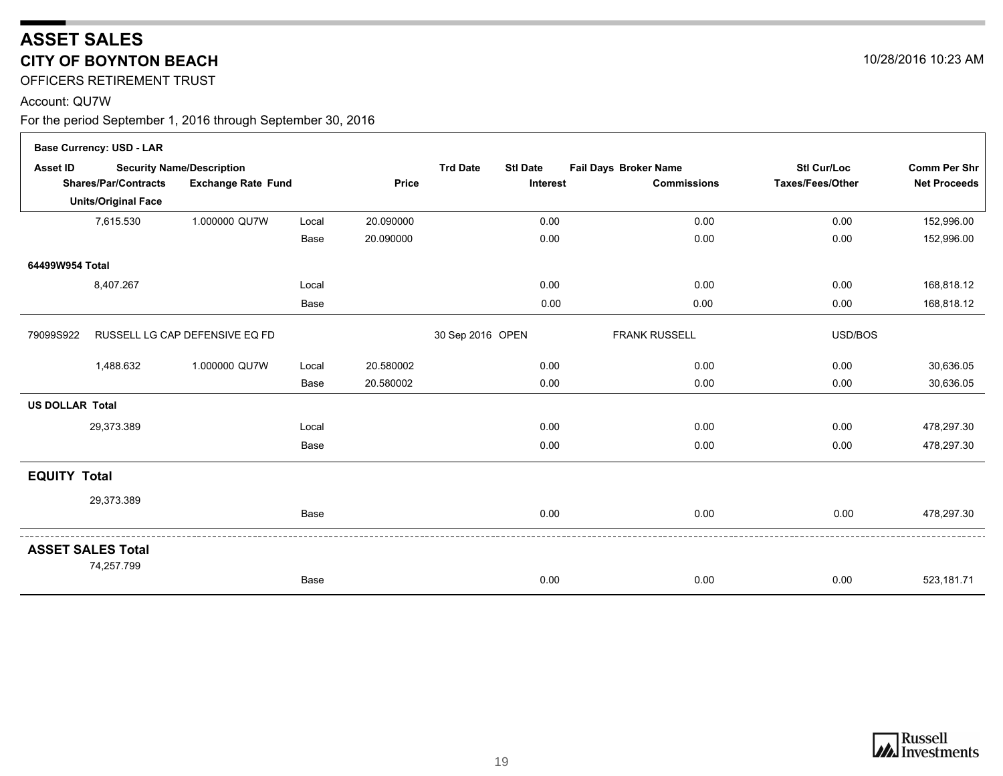OFFICERS RETIREMENT TRUST

#### Account: QU7W

|                        | <b>Base Currency: USD - LAR</b>        |                                  |       |              |                  |                 |                       |                    |                     |
|------------------------|----------------------------------------|----------------------------------|-------|--------------|------------------|-----------------|-----------------------|--------------------|---------------------|
| <b>Asset ID</b>        |                                        | <b>Security Name/Description</b> |       |              | <b>Trd Date</b>  | <b>Stl Date</b> | Fail Days Broker Name | <b>Stl Cur/Loc</b> | <b>Comm Per Shr</b> |
|                        | <b>Shares/Par/Contracts</b>            | <b>Exchange Rate Fund</b>        |       | <b>Price</b> |                  | Interest        | <b>Commissions</b>    | Taxes/Fees/Other   | <b>Net Proceeds</b> |
|                        | <b>Units/Original Face</b>             |                                  |       |              |                  |                 |                       |                    |                     |
|                        | 7,615.530                              | 1.000000 QU7W                    | Local | 20.090000    |                  | 0.00            | 0.00                  | 0.00               | 152,996.00          |
|                        |                                        |                                  | Base  | 20.090000    |                  | 0.00            | 0.00                  | 0.00               | 152,996.00          |
| 64499W954 Total        |                                        |                                  |       |              |                  |                 |                       |                    |                     |
|                        | 8,407.267                              |                                  | Local |              |                  | 0.00            | 0.00                  | 0.00               | 168,818.12          |
|                        |                                        |                                  | Base  |              |                  | 0.00            | 0.00                  | 0.00               | 168,818.12          |
| 79099S922              |                                        | RUSSELL LG CAP DEFENSIVE EQ FD   |       |              | 30 Sep 2016 OPEN |                 | <b>FRANK RUSSELL</b>  | USD/BOS            |                     |
|                        | 1,488.632                              | 1.000000 QU7W                    | Local | 20.580002    |                  | 0.00            | 0.00                  | 0.00               | 30,636.05           |
|                        |                                        |                                  | Base  | 20.580002    |                  | 0.00            | 0.00                  | 0.00               | 30,636.05           |
| <b>US DOLLAR Total</b> |                                        |                                  |       |              |                  |                 |                       |                    |                     |
|                        | 29,373.389                             |                                  | Local |              |                  | 0.00            | 0.00                  | 0.00               | 478,297.30          |
|                        |                                        |                                  | Base  |              |                  | 0.00            | 0.00                  | 0.00               | 478,297.30          |
| <b>EQUITY Total</b>    |                                        |                                  |       |              |                  |                 |                       |                    |                     |
|                        | 29,373.389                             |                                  |       |              |                  |                 |                       |                    |                     |
|                        |                                        |                                  | Base  |              |                  | 0.00            | 0.00                  | 0.00               | 478,297.30          |
|                        | <b>ASSET SALES Total</b><br>74,257.799 |                                  |       |              |                  |                 |                       |                    |                     |
|                        |                                        |                                  | Base  |              |                  | 0.00            | 0.00                  | 0.00               | 523,181.71          |

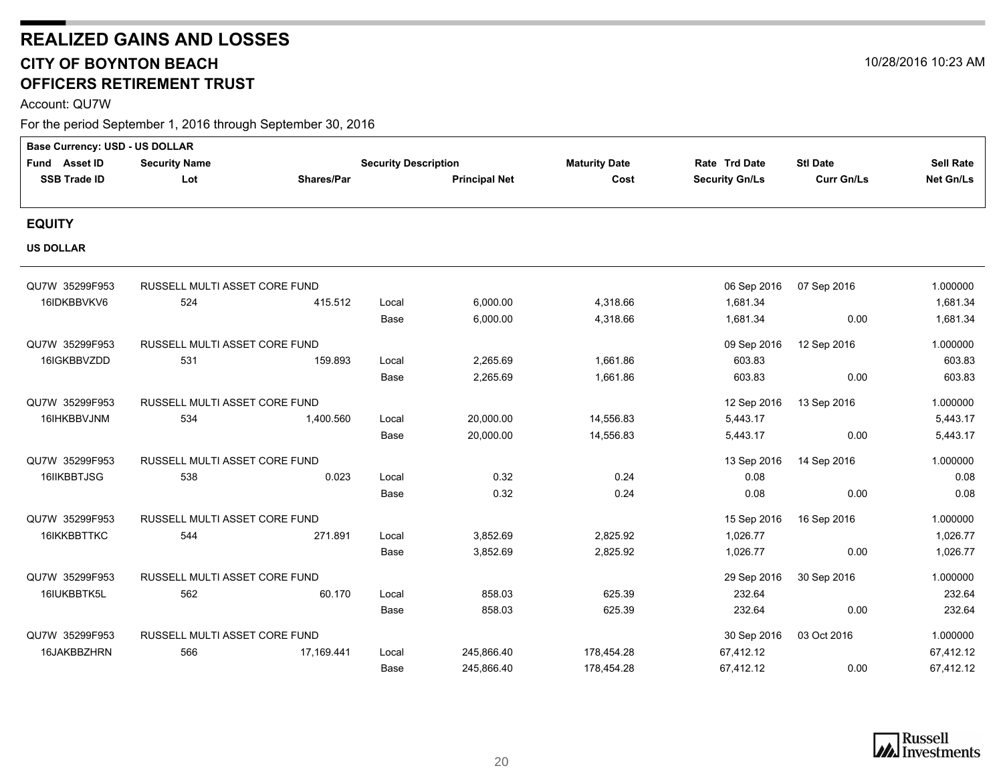Account: QU7W

| <b>Base Currency: USD - US DOLLAR</b> |                               |            |                             |                      |                      |                       |                   |                  |
|---------------------------------------|-------------------------------|------------|-----------------------------|----------------------|----------------------|-----------------------|-------------------|------------------|
| Fund Asset ID                         | <b>Security Name</b>          |            | <b>Security Description</b> |                      | <b>Maturity Date</b> | Rate Trd Date         | <b>Stl Date</b>   | <b>Sell Rate</b> |
| <b>SSB Trade ID</b>                   | Lot                           | Shares/Par |                             | <b>Principal Net</b> | Cost                 | <b>Security Gn/Ls</b> | <b>Curr Gn/Ls</b> | Net Gn/Ls        |
|                                       |                               |            |                             |                      |                      |                       |                   |                  |
| <b>EQUITY</b>                         |                               |            |                             |                      |                      |                       |                   |                  |
| <b>US DOLLAR</b>                      |                               |            |                             |                      |                      |                       |                   |                  |
| QU7W 35299F953                        | RUSSELL MULTI ASSET CORE FUND |            |                             |                      |                      | 06 Sep 2016           | 07 Sep 2016       | 1.000000         |
| 16IDKBBVKV6                           | 524                           | 415.512    | Local                       | 6,000.00             | 4,318.66             | 1,681.34              |                   | 1,681.34         |
|                                       |                               |            | Base                        | 6,000.00             | 4,318.66             | 1,681.34              | 0.00              | 1,681.34         |
| QU7W 35299F953                        | RUSSELL MULTI ASSET CORE FUND |            |                             |                      |                      | 09 Sep 2016           | 12 Sep 2016       | 1.000000         |
| 16IGKBBVZDD                           | 531                           | 159.893    | Local                       | 2,265.69             | 1,661.86             | 603.83                |                   | 603.83           |
|                                       |                               |            | Base                        | 2,265.69             | 1,661.86             | 603.83                | 0.00              | 603.83           |
| QU7W 35299F953                        | RUSSELL MULTI ASSET CORE FUND |            |                             |                      |                      | 12 Sep 2016           | 13 Sep 2016       | 1.000000         |
| 16IHKBBVJNM                           | 534                           | 1,400.560  | Local                       | 20,000.00            | 14,556.83            | 5,443.17              |                   | 5,443.17         |
|                                       |                               |            | Base                        | 20,000.00            | 14,556.83            | 5,443.17              | 0.00              | 5,443.17         |
| QU7W 35299F953                        | RUSSELL MULTI ASSET CORE FUND |            |                             |                      |                      | 13 Sep 2016           | 14 Sep 2016       | 1.000000         |
| 16IIKBBTJSG                           | 538                           | 0.023      | Local                       | 0.32                 | 0.24                 | 0.08                  |                   | 0.08             |
|                                       |                               |            | Base                        | 0.32                 | 0.24                 | 0.08                  | 0.00              | 0.08             |
| QU7W 35299F953                        | RUSSELL MULTI ASSET CORE FUND |            |                             |                      |                      | 15 Sep 2016           | 16 Sep 2016       | 1.000000         |
| 16IKKBBTTKC                           | 544                           | 271.891    | Local                       | 3,852.69             | 2,825.92             | 1,026.77              |                   | 1,026.77         |
|                                       |                               |            | Base                        | 3,852.69             | 2,825.92             | 1,026.77              | 0.00              | 1,026.77         |
| QU7W 35299F953                        | RUSSELL MULTI ASSET CORE FUND |            |                             |                      |                      | 29 Sep 2016           | 30 Sep 2016       | 1.000000         |
| 16IUKBBTK5L                           | 562                           | 60.170     | Local                       | 858.03               | 625.39               | 232.64                |                   | 232.64           |
|                                       |                               |            | Base                        | 858.03               | 625.39               | 232.64                | 0.00              | 232.64           |
| QU7W 35299F953                        | RUSSELL MULTI ASSET CORE FUND |            |                             |                      |                      | 30 Sep 2016           | 03 Oct 2016       | 1.000000         |
| 16JAKBBZHRN                           | 566                           | 17,169.441 | Local                       | 245,866.40           | 178,454.28           | 67,412.12             |                   | 67,412.12        |
|                                       |                               |            | Base                        | 245,866.40           | 178,454.28           | 67,412.12             | 0.00              | 67,412.12        |

<span id="page-19-0"></span>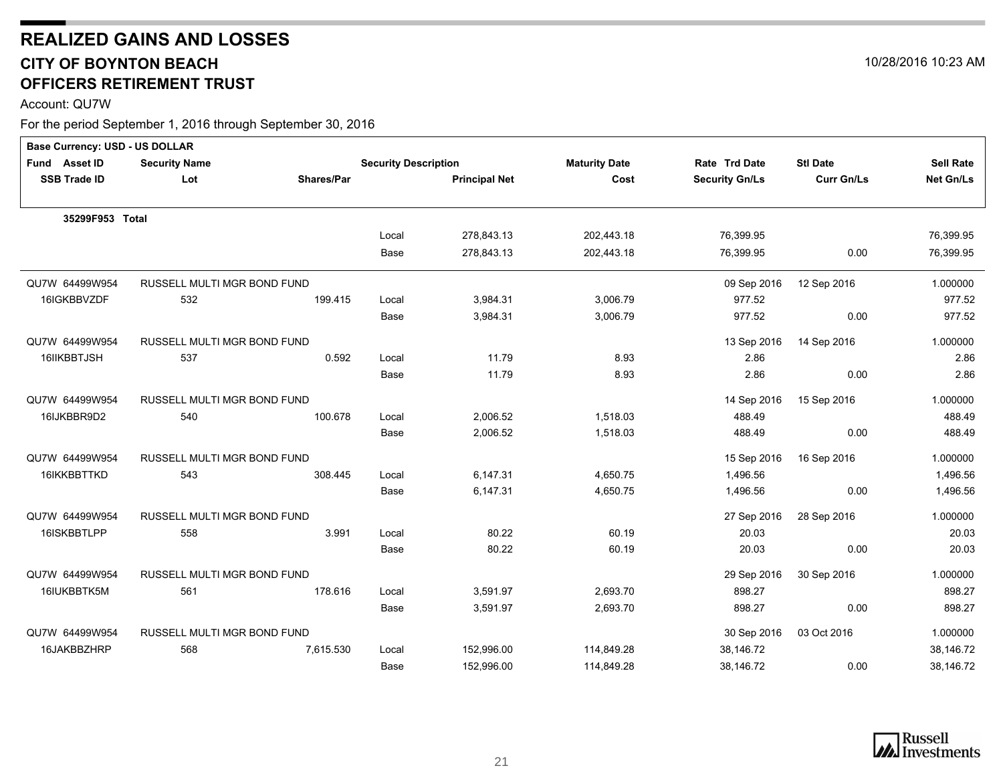Account: QU7W

| Base Currency: USD - US DOLLAR |                             |                   |                             |                      |                      |                       |                   |                  |
|--------------------------------|-----------------------------|-------------------|-----------------------------|----------------------|----------------------|-----------------------|-------------------|------------------|
| Fund Asset ID                  | <b>Security Name</b>        |                   | <b>Security Description</b> |                      | <b>Maturity Date</b> | Rate Trd Date         | <b>Stl Date</b>   | <b>Sell Rate</b> |
| <b>SSB Trade ID</b>            | Lot                         | <b>Shares/Par</b> |                             | <b>Principal Net</b> | Cost                 | <b>Security Gn/Ls</b> | <b>Curr Gn/Ls</b> | <b>Net Gn/Ls</b> |
| 35299F953 Total                |                             |                   |                             |                      |                      |                       |                   |                  |
|                                |                             |                   | Local                       | 278,843.13           | 202,443.18           | 76,399.95             |                   | 76,399.95        |
|                                |                             |                   | Base                        | 278,843.13           | 202,443.18           | 76,399.95             | 0.00              | 76,399.95        |
| QU7W 64499W954                 | RUSSELL MULTI MGR BOND FUND |                   |                             |                      |                      | 09 Sep 2016           | 12 Sep 2016       | 1.000000         |
| 16IGKBBVZDF                    | 532                         | 199.415           | Local                       | 3,984.31             | 3,006.79             | 977.52                |                   | 977.52           |
|                                |                             |                   | Base                        | 3,984.31             | 3,006.79             | 977.52                | 0.00              | 977.52           |
| QU7W 64499W954                 | RUSSELL MULTI MGR BOND FUND |                   |                             |                      |                      | 13 Sep 2016           | 14 Sep 2016       | 1.000000         |
| 16IIKBBTJSH                    | 537                         | 0.592             | Local                       | 11.79                | 8.93                 | 2.86                  |                   | 2.86             |
|                                |                             |                   | Base                        | 11.79                | 8.93                 | 2.86                  | 0.00              | 2.86             |
| QU7W 64499W954                 | RUSSELL MULTI MGR BOND FUND |                   |                             |                      |                      | 14 Sep 2016           | 15 Sep 2016       | 1.000000         |
| 16IJKBBR9D2                    | 540                         | 100.678           | Local                       | 2,006.52             | 1.518.03             | 488.49                |                   | 488.49           |
|                                |                             |                   | Base                        | 2,006.52             | 1,518.03             | 488.49                | 0.00              | 488.49           |
| QU7W 64499W954                 | RUSSELL MULTI MGR BOND FUND |                   |                             |                      |                      | 15 Sep 2016           | 16 Sep 2016       | 1.000000         |
| 16IKKBBTTKD                    | 543                         | 308.445           | Local                       | 6,147.31             | 4,650.75             | 1,496.56              |                   | 1,496.56         |
|                                |                             |                   | Base                        | 6,147.31             | 4,650.75             | 1,496.56              | 0.00              | 1,496.56         |
| QU7W 64499W954                 | RUSSELL MULTI MGR BOND FUND |                   |                             |                      |                      | 27 Sep 2016           | 28 Sep 2016       | 1.000000         |
| 16ISKBBTLPP                    | 558                         | 3.991             | Local                       | 80.22                | 60.19                | 20.03                 |                   | 20.03            |
|                                |                             |                   | Base                        | 80.22                | 60.19                | 20.03                 | 0.00              | 20.03            |
| QU7W 64499W954                 | RUSSELL MULTI MGR BOND FUND |                   |                             |                      |                      | 29 Sep 2016           | 30 Sep 2016       | 1.000000         |
| 16IUKBBTK5M                    | 561                         | 178.616           | Local                       | 3,591.97             | 2,693.70             | 898.27                |                   | 898.27           |
|                                |                             |                   | Base                        | 3,591.97             | 2,693.70             | 898.27                | 0.00              | 898.27           |
| QU7W 64499W954                 | RUSSELL MULTI MGR BOND FUND |                   |                             |                      |                      | 30 Sep 2016           | 03 Oct 2016       | 1.000000         |
| 16JAKBBZHRP                    | 568                         | 7,615.530         | Local                       | 152,996.00           | 114,849.28           | 38,146.72             |                   | 38,146.72        |
|                                |                             |                   | Base                        | 152,996.00           | 114,849.28           | 38,146.72             | 0.00              | 38,146.72        |



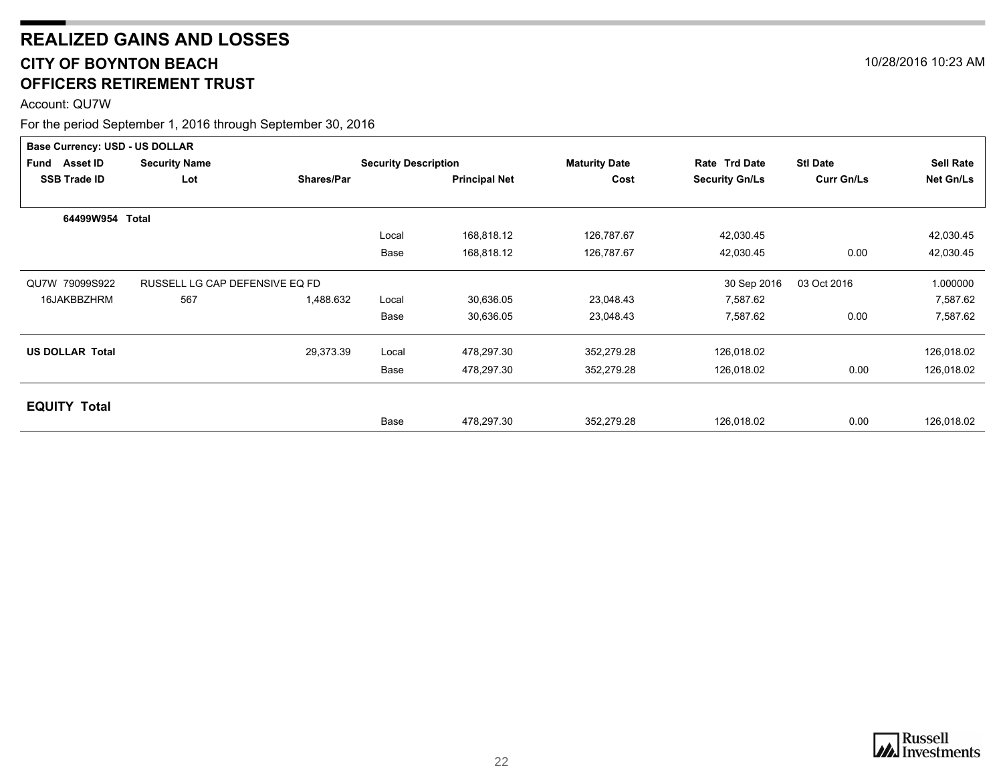Account: QU7W

|                        | <b>Base Currency: USD - US DOLLAR</b> |                   |                             |                      |                      |                       |                   |                  |  |  |  |
|------------------------|---------------------------------------|-------------------|-----------------------------|----------------------|----------------------|-----------------------|-------------------|------------------|--|--|--|
| Fund Asset ID          | <b>Security Name</b>                  |                   | <b>Security Description</b> |                      | <b>Maturity Date</b> | Rate Trd Date         | <b>Stl Date</b>   | <b>Sell Rate</b> |  |  |  |
| <b>SSB Trade ID</b>    | Lot                                   | <b>Shares/Par</b> |                             | <b>Principal Net</b> | Cost                 | <b>Security Gn/Ls</b> | <b>Curr Gn/Ls</b> | Net Gn/Ls        |  |  |  |
|                        |                                       |                   |                             |                      |                      |                       |                   |                  |  |  |  |
| 64499W954 Total        |                                       |                   |                             |                      |                      |                       |                   |                  |  |  |  |
|                        |                                       |                   | Local                       | 168,818.12           | 126,787.67           | 42,030.45             |                   | 42,030.45        |  |  |  |
|                        |                                       |                   | Base                        | 168,818.12           | 126,787.67           | 42,030.45             | 0.00              | 42,030.45        |  |  |  |
| QU7W 79099S922         | RUSSELL LG CAP DEFENSIVE EQ FD        |                   |                             |                      |                      | 30 Sep 2016           | 03 Oct 2016       | 1.000000         |  |  |  |
| 16JAKBBZHRM            | 567                                   | 1,488.632         | Local                       | 30,636.05            | 23,048.43            | 7,587.62              |                   | 7,587.62         |  |  |  |
|                        |                                       |                   | Base                        | 30,636.05            | 23,048.43            | 7,587.62              | 0.00              | 7,587.62         |  |  |  |
| <b>US DOLLAR Total</b> |                                       | 29,373.39         | Local                       | 478,297.30           | 352,279.28           | 126,018.02            |                   | 126,018.02       |  |  |  |
|                        |                                       |                   | Base                        | 478,297.30           | 352,279.28           | 126,018.02            | 0.00              | 126,018.02       |  |  |  |
|                        |                                       |                   |                             |                      |                      |                       |                   |                  |  |  |  |
| <b>EQUITY Total</b>    |                                       |                   | Base                        | 478,297.30           | 352,279.28           | 126,018.02            | 0.00              | 126,018.02       |  |  |  |



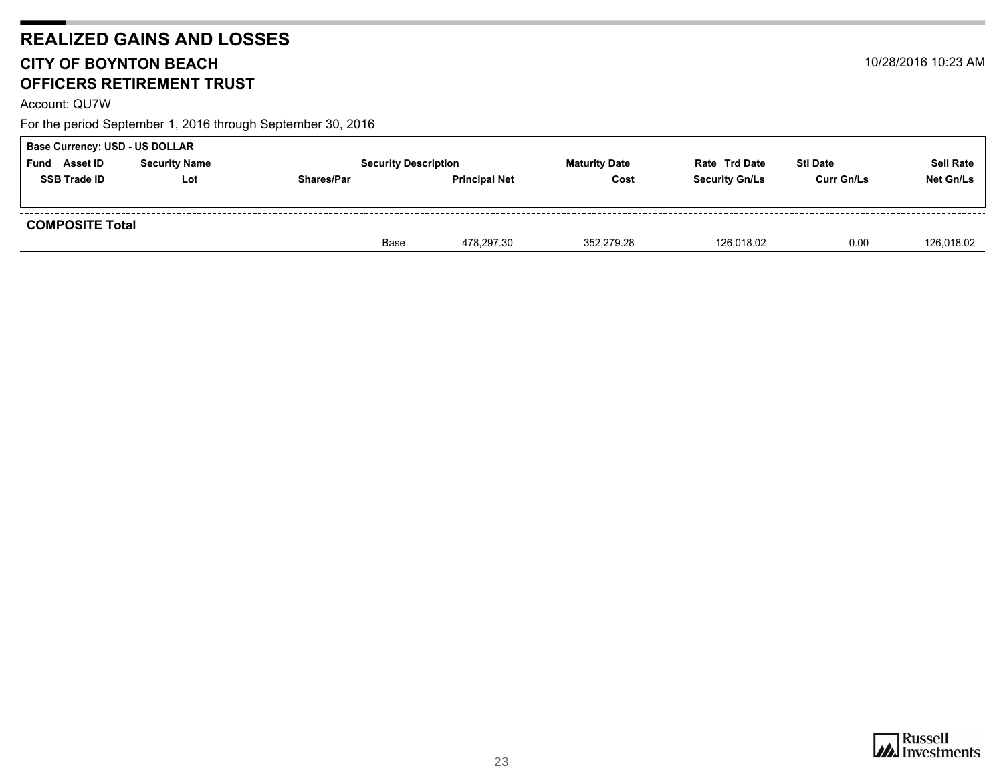Account: QU7W

| Base Currency: USD - US DOLLAR |                        |                   |                             |                      |                       |                   |                  |  |  |  |
|--------------------------------|------------------------|-------------------|-----------------------------|----------------------|-----------------------|-------------------|------------------|--|--|--|
| <b>Asset ID</b><br>Fund        | <b>Security Name</b>   |                   | <b>Security Description</b> | <b>Maturity Date</b> | <b>Rate Trd Date</b>  | <b>Stl Date</b>   | <b>Sell Rate</b> |  |  |  |
| <b>SSB Trade ID</b>            | Lot                    | <b>Shares/Par</b> | <b>Principal Net</b>        | Cost                 | <b>Security Gn/Ls</b> | <b>Curr Gn/Ls</b> | Net Gn/Ls        |  |  |  |
|                                |                        |                   |                             |                      |                       |                   |                  |  |  |  |
|                                | <b>COMPOSITE Total</b> |                   |                             |                      |                       |                   |                  |  |  |  |
|                                |                        | Base              | 478,297.30                  | 352,279.28           | 126,018.02            | 0.00              | 126,018.02       |  |  |  |

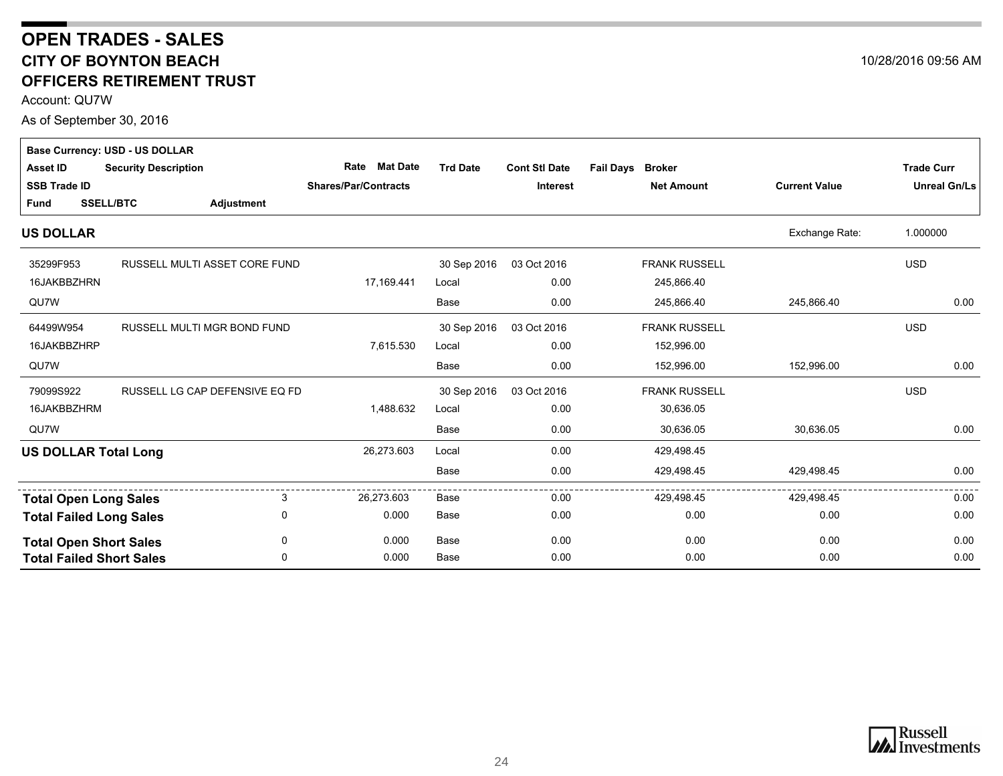### <span id="page-23-0"></span>**CITY OF BOYNTON BEACH OFFICERS RETIREMENT TRUST OPEN TRADES - SALES**

Account: QU7W

As of September 30, 2016

|                                 | <b>Base Currency: USD - US DOLLAR</b> |                             |                 |                      |                                   |                      |                     |
|---------------------------------|---------------------------------------|-----------------------------|-----------------|----------------------|-----------------------------------|----------------------|---------------------|
| <b>Asset ID</b>                 | <b>Security Description</b>           | <b>Mat Date</b><br>Rate     | <b>Trd Date</b> | <b>Cont Stl Date</b> | <b>Fail Days</b><br><b>Broker</b> |                      | <b>Trade Curr</b>   |
| <b>SSB Trade ID</b>             |                                       | <b>Shares/Par/Contracts</b> |                 | <b>Interest</b>      | <b>Net Amount</b>                 | <b>Current Value</b> | <b>Unreal Gn/Ls</b> |
| <b>Fund</b>                     | <b>SSELL/BTC</b><br>Adjustment        |                             |                 |                      |                                   |                      |                     |
| <b>US DOLLAR</b>                |                                       |                             |                 |                      |                                   | Exchange Rate:       | 1.000000            |
| 35299F953                       | RUSSELL MULTI ASSET CORE FUND         |                             | 30 Sep 2016     | 03 Oct 2016          | <b>FRANK RUSSELL</b>              |                      | <b>USD</b>          |
| 16JAKBBZHRN                     |                                       | 17,169.441                  | Local           | 0.00                 | 245,866.40                        |                      |                     |
| QU7W                            |                                       |                             | Base            | 0.00                 | 245,866.40                        | 245,866.40           | 0.00                |
| 64499W954                       | RUSSELL MULTI MGR BOND FUND           |                             | 30 Sep 2016     | 03 Oct 2016          | <b>FRANK RUSSELL</b>              |                      | <b>USD</b>          |
| 16JAKBBZHRP                     |                                       | 7,615.530                   | Local           | 0.00                 | 152,996.00                        |                      |                     |
| QU7W                            |                                       |                             | Base            | 0.00                 | 152,996.00                        | 152,996.00           | 0.00                |
| 79099S922                       | RUSSELL LG CAP DEFENSIVE EQ FD        |                             | 30 Sep 2016     | 03 Oct 2016          | <b>FRANK RUSSELL</b>              |                      | <b>USD</b>          |
| 16JAKBBZHRM                     |                                       | 1,488.632                   | Local           | 0.00                 | 30,636.05                         |                      |                     |
| QU7W                            |                                       |                             | Base            | 0.00                 | 30,636.05                         | 30,636.05            | 0.00                |
| <b>US DOLLAR Total Long</b>     |                                       | 26,273.603                  | Local           | 0.00                 | 429,498.45                        |                      |                     |
|                                 |                                       |                             | Base            | 0.00                 | 429,498.45                        | 429,498.45           | 0.00                |
| <b>Total Open Long Sales</b>    | 3                                     | 26,273.603                  | Base            | 0.00                 | 429,498.45                        | 429,498.45           | 0.00                |
| <b>Total Failed Long Sales</b>  | 0                                     | 0.000                       | Base            | 0.00                 | 0.00                              | 0.00                 | 0.00                |
| <b>Total Open Short Sales</b>   | 0                                     | 0.000                       | Base            | 0.00                 | 0.00                              | 0.00                 | 0.00                |
| <b>Total Failed Short Sales</b> | 0                                     | 0.000                       | Base            | 0.00                 | 0.00                              | 0.00                 | 0.00                |



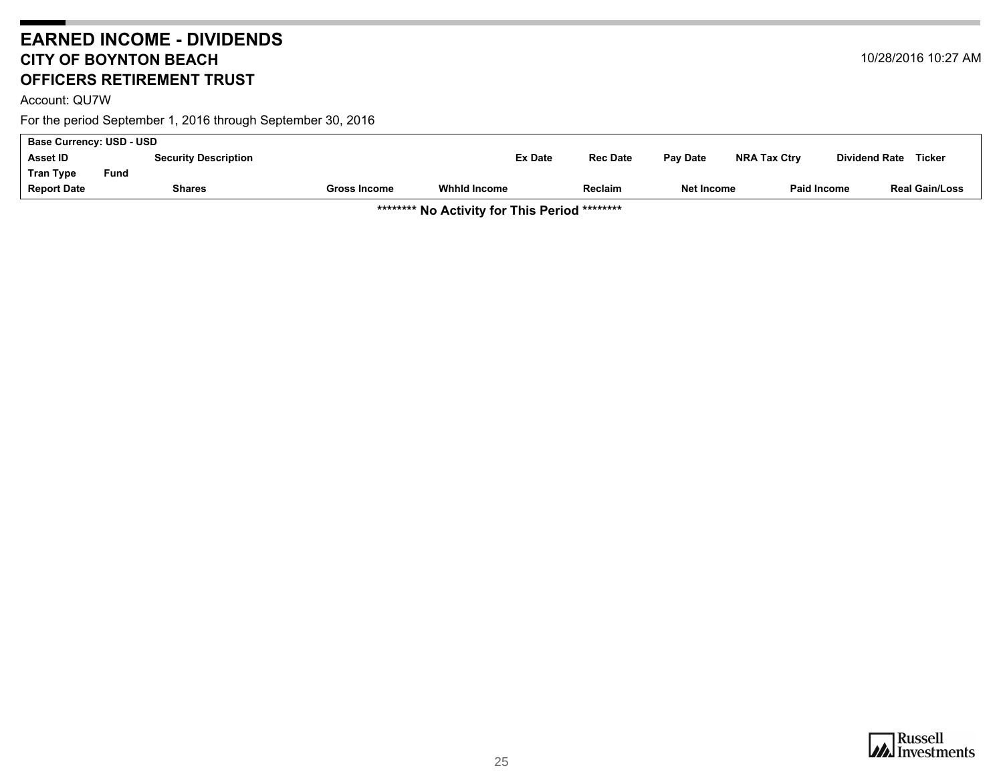### <span id="page-24-0"></span>**EARNED INCOME - DIVIDENDS CITY OF BOYNTON BEACH OFFICERS RETIREMENT TRUST**

For the period September 1, 2016 through September 30, 2016

| <b>Base Currency: USD - USD</b> |      |                             |                     |                |                 |            |                     |                                |  |
|---------------------------------|------|-----------------------------|---------------------|----------------|-----------------|------------|---------------------|--------------------------------|--|
| Asset ID                        |      | <b>Security Description</b> |                     | <b>Ex Date</b> | <b>Rec Date</b> | Pay Date   | <b>NRA Tax Ctry</b> | Ticker<br><b>Dividend Rate</b> |  |
| Tran Type                       | Fund |                             |                     |                |                 |            |                     |                                |  |
| <b>Report Date</b>              |      | <b>Shares</b>               | <b>Gross Income</b> | Whhid Income   | Reclaim         | Net Income | <b>Paid Income</b>  | <b>Real Gain/Loss</b>          |  |

**\*\*\*\*\*\*\*\* No Activity for This Period \*\*\*\*\*\*\*\***

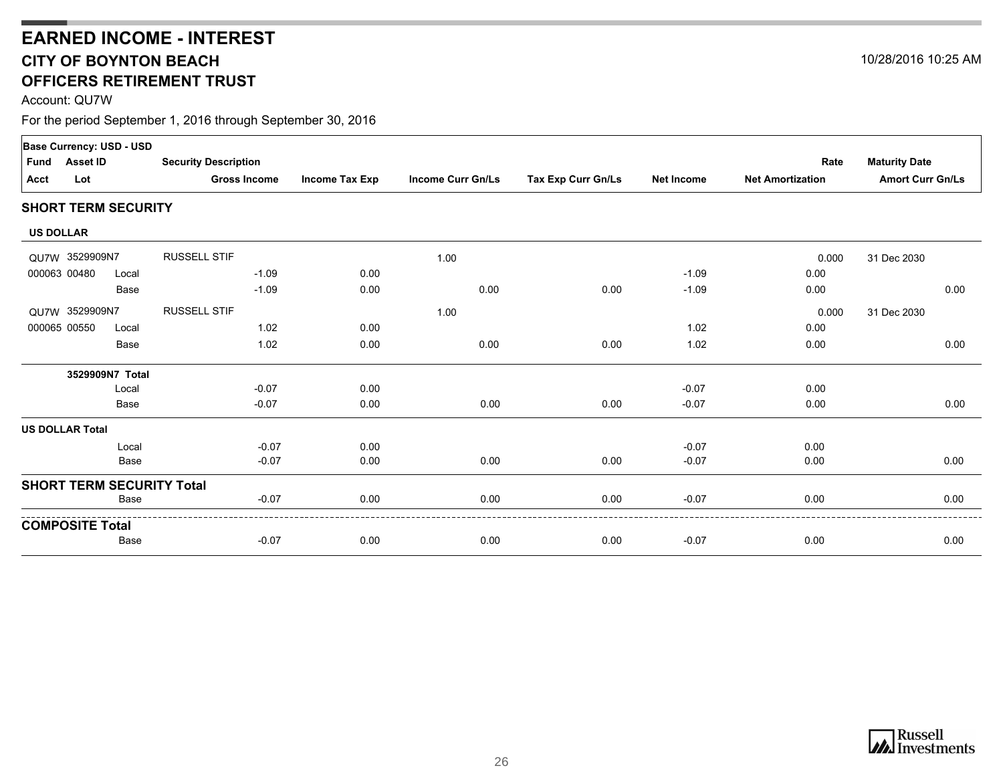### **CITY OF BOYNTON BEACH OFFICERS RETIREMENT TRUSTEARNED INCOME - INTEREST**

Account: QU7W

|                  | <b>Base Currency: USD - USD</b> |                            |                                  |                |                          |                    |                   |                         |                         |  |
|------------------|---------------------------------|----------------------------|----------------------------------|----------------|--------------------------|--------------------|-------------------|-------------------------|-------------------------|--|
| Fund             | <b>Asset ID</b>                 |                            | <b>Security Description</b>      |                |                          |                    |                   | Rate                    | <b>Maturity Date</b>    |  |
| Acct             | Lot                             |                            | <b>Gross Income</b>              | Income Tax Exp | <b>Income Curr Gn/Ls</b> | Tax Exp Curr Gn/Ls | <b>Net Income</b> | <b>Net Amortization</b> | <b>Amort Curr Gn/Ls</b> |  |
|                  |                                 | <b>SHORT TERM SECURITY</b> |                                  |                |                          |                    |                   |                         |                         |  |
| <b>US DOLLAR</b> |                                 |                            |                                  |                |                          |                    |                   |                         |                         |  |
|                  | QU7W 3529909N7                  |                            | <b>RUSSELL STIF</b>              |                | 1.00                     |                    |                   | 0.000                   | 31 Dec 2030             |  |
| 000063 00480     |                                 | Local                      | $-1.09$                          | 0.00           |                          |                    | $-1.09$           | 0.00                    |                         |  |
|                  |                                 | Base                       | $-1.09$                          | 0.00           | 0.00                     | 0.00               | $-1.09$           | 0.00                    | 0.00                    |  |
|                  | QU7W 3529909N7                  |                            | <b>RUSSELL STIF</b>              |                | 1.00                     |                    |                   | 0.000                   | 31 Dec 2030             |  |
| 000065 00550     |                                 | Local                      | 1.02                             | 0.00           |                          |                    | 1.02              | 0.00                    |                         |  |
|                  |                                 | Base                       | 1.02                             | 0.00           | 0.00                     | 0.00               | 1.02              | 0.00                    | 0.00                    |  |
|                  |                                 | 3529909N7 Total            |                                  |                |                          |                    |                   |                         |                         |  |
|                  |                                 | Local                      | $-0.07$                          | 0.00           |                          |                    | $-0.07$           | 0.00                    |                         |  |
|                  |                                 | Base                       | $-0.07$                          | 0.00           | 0.00                     | 0.00               | $-0.07$           | 0.00                    | 0.00                    |  |
|                  | US DOLLAR Total                 |                            |                                  |                |                          |                    |                   |                         |                         |  |
|                  |                                 | Local                      | $-0.07$                          | 0.00           |                          |                    | $-0.07$           | 0.00                    |                         |  |
|                  |                                 | Base                       | $-0.07$                          | 0.00           | 0.00                     | 0.00               | $-0.07$           | 0.00                    | 0.00                    |  |
|                  |                                 |                            | <b>SHORT TERM SECURITY Total</b> |                |                          |                    |                   |                         |                         |  |
|                  |                                 | Base                       | $-0.07$                          | 0.00           | 0.00                     | 0.00               | $-0.07$           | 0.00                    | 0.00                    |  |
|                  | <b>COMPOSITE Total</b>          |                            |                                  |                |                          |                    |                   |                         |                         |  |
|                  |                                 | Base                       | $-0.07$                          | 0.00           | 0.00                     | 0.00               | $-0.07$           | 0.00                    | 0.00                    |  |

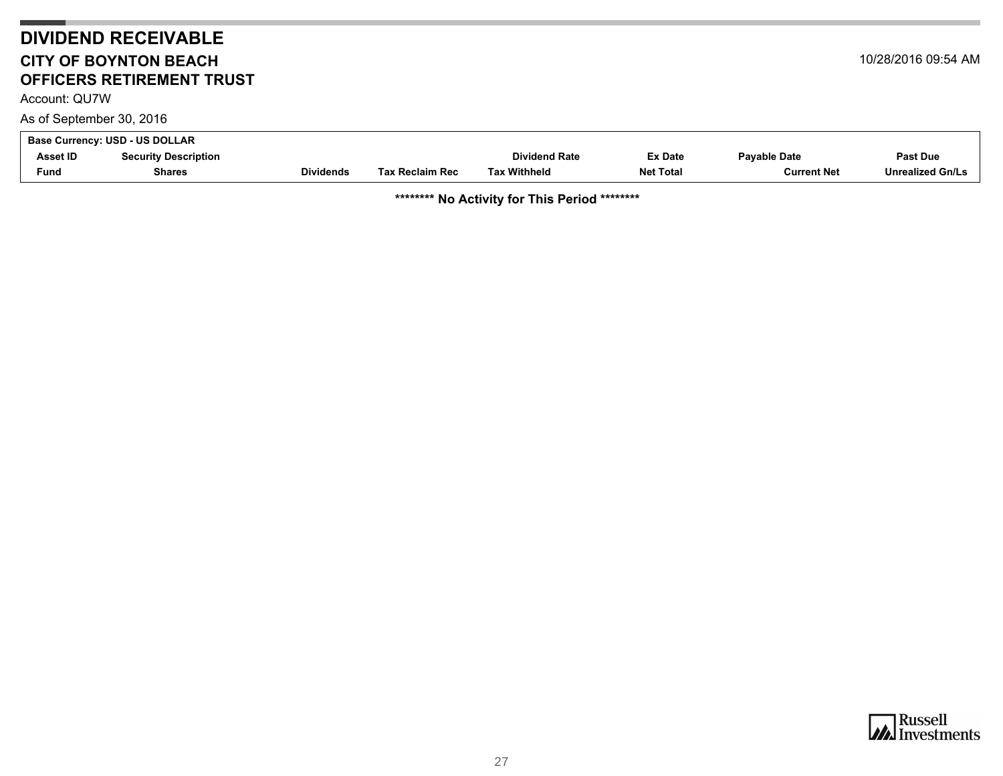## **DIVIDEND RECEIVABLE CITY OF BOYNTON BEACHOFFICERS RETIREMENT TRUST**

<span id="page-26-0"></span>Account: QU7W

As of September 30, 2016

| .                              |                             |                  |                        |                      |                  |                     |                         |  |
|--------------------------------|-----------------------------|------------------|------------------------|----------------------|------------------|---------------------|-------------------------|--|
| Base Currency: USD - US DOLLAR |                             |                  |                        |                      |                  |                     |                         |  |
| Asset ID                       | <b>Security Description</b> |                  |                        | <b>Dividend Rate</b> | <b>Ex Date</b>   | <b>Pavable Date</b> | Past Due                |  |
| Fund                           | Shares                      | <b>Dividends</b> | <b>Tax Reclaim Rec</b> | <b>Tax Withheld</b>  | <b>Net Total</b> | <b>Current Net</b>  | <b>Unrealized Gn/Ls</b> |  |

**\*\*\*\*\*\*\*\* No Activity for This Period \*\*\*\*\*\*\*\***





10/28/2016 09:54 AM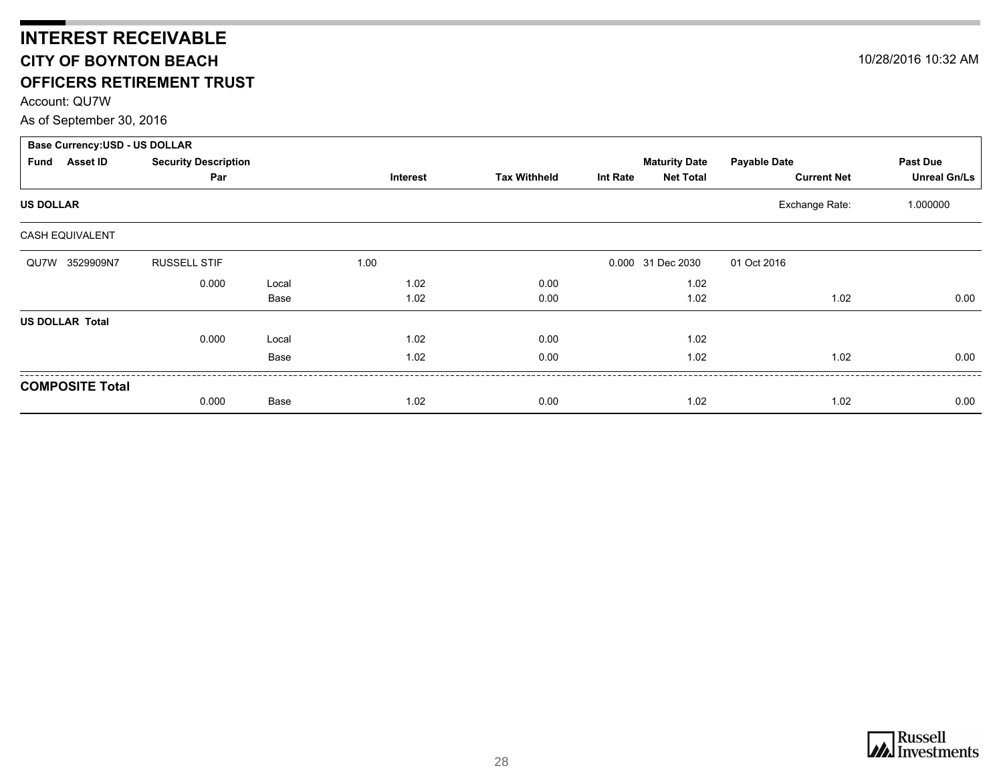## <span id="page-27-0"></span>**INTEREST RECEIVABLE CITY OF BOYNTON BEACH OFFICERS RETIREMENT TRUST**

Account: QU7W

As of September 30, 2016

| <b>Base Currency: USD - US DOLLAR</b> |                             |       |                 |                     |                 |                      |                     |                     |  |
|---------------------------------------|-----------------------------|-------|-----------------|---------------------|-----------------|----------------------|---------------------|---------------------|--|
| <b>Asset ID</b><br>Fund               | <b>Security Description</b> |       |                 |                     |                 | <b>Maturity Date</b> | <b>Payable Date</b> | Past Due            |  |
|                                       | Par                         |       | <b>Interest</b> | <b>Tax Withheld</b> | <b>Int Rate</b> | <b>Net Total</b>     | <b>Current Net</b>  | <b>Unreal Gn/Ls</b> |  |
| <b>US DOLLAR</b>                      |                             |       |                 |                     |                 |                      | Exchange Rate:      | 1.000000            |  |
| CASH EQUIVALENT                       |                             |       |                 |                     |                 |                      |                     |                     |  |
| QU7W 3529909N7                        | <b>RUSSELL STIF</b>         |       | 1.00            |                     |                 | 0.000 31 Dec 2030    | 01 Oct 2016         |                     |  |
|                                       | 0.000                       | Local | 1.02            | 0.00                |                 | 1.02                 |                     |                     |  |
|                                       |                             | Base  | 1.02            | 0.00                |                 | 1.02                 | 1.02                | 0.00                |  |
| <b>US DOLLAR Total</b>                |                             |       |                 |                     |                 |                      |                     |                     |  |
|                                       | 0.000                       | Local | 1.02            | 0.00                |                 | 1.02                 |                     |                     |  |
|                                       |                             | Base  | 1.02            | 0.00                |                 | 1.02                 | 1.02                | 0.00                |  |
| <b>COMPOSITE Total</b>                |                             |       |                 |                     |                 |                      |                     |                     |  |
|                                       | 0.000                       | Base  | 1.02            | 0.00                |                 | 1.02                 | 1.02                | 0.00                |  |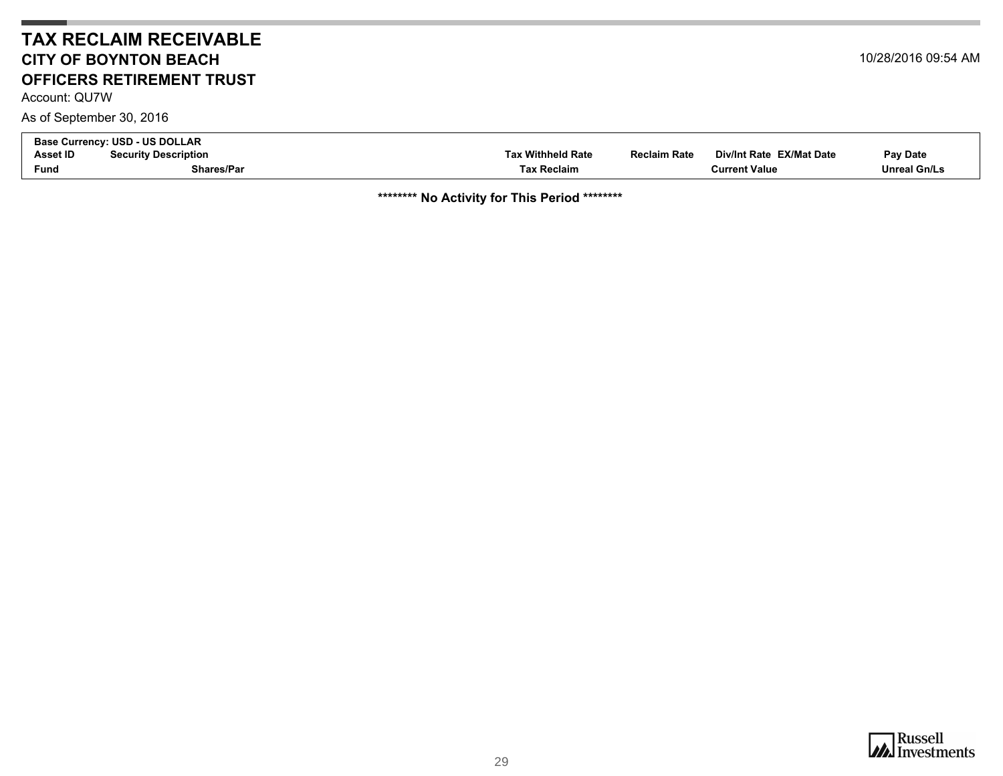### **TAX RECLAIM RECEIVABLECITY OF BOYNTON BEACHOFFICERS RETIREMENT TRUST**

<span id="page-28-0"></span>Account: QU7W

As of September 30, 2016

| <b>Base Currency:</b> | : USD - US DOLLAR           |                          |                     |                          |                     |
|-----------------------|-----------------------------|--------------------------|---------------------|--------------------------|---------------------|
| Asset ID              | <b>Security Description</b> | <b>Tax Withheld Rate</b> | <b>Reclaim Rate</b> | Div/Int Rate EX/Mat Date | <b>Pay Date</b>     |
| Fund                  | <b>Shares/Par</b>           | <b>Tax Reclaim</b>       |                     | <b>Current Value</b>     | <b>Unreal Gn/Ls</b> |

**\*\*\*\*\*\*\*\* No Activity for This Period \*\*\*\*\*\*\*\***

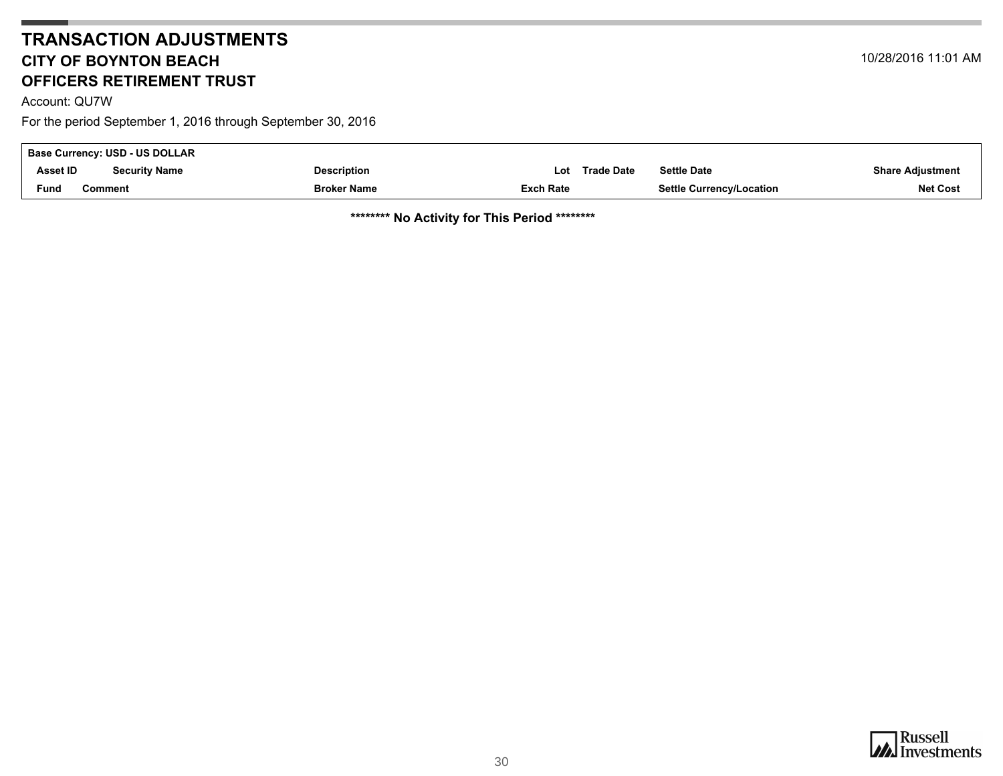### **TRANSACTION ADJUSTMENTSCITY OF BOYNTON BEACHOFFICERS RETIREMENT TRUST**

<span id="page-29-0"></span>Account: QU7W

For the period September 1, 2016 through September 30, 2016

| <b>Base Currency: USD - US DOLLAR</b> |                      |                    |                  |            |                                 |                         |  |
|---------------------------------------|----------------------|--------------------|------------------|------------|---------------------------------|-------------------------|--|
| Asset ID                              | <b>Security Name</b> | <b>Description</b> | Lot              | Trade Date | <b>Settle Date</b>              | <b>Share Adjustment</b> |  |
| <b>Fund</b>                           | Comment              | <b>Broker Name</b> | <b>Exch Rate</b> |            | <b>Settle Currency/Location</b> | <b>Net Cost</b>         |  |

**\*\*\*\*\*\*\*\* No Activity for This Period \*\*\*\*\*\*\*\***